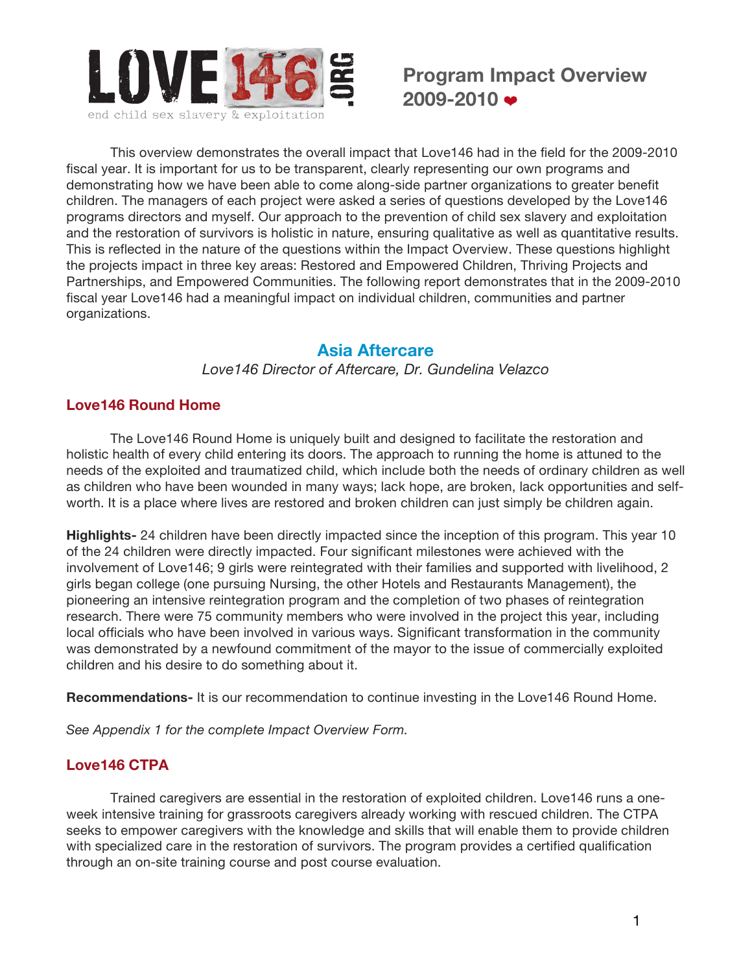

This overview demonstrates the overall impact that Love146 had in the field for the 2009-2010 fiscal year. It is important for us to be transparent, clearly representing our own programs and demonstrating how we have been able to come along-side partner organizations to greater benefit children. The managers of each project were asked a series of questions developed by the Love146 programs directors and myself. Our approach to the prevention of child sex slavery and exploitation and the restoration of survivors is holistic in nature, ensuring qualitative as well as quantitative results. This is reflected in the nature of the questions within the Impact Overview. These questions highlight the projects impact in three key areas: Restored and Empowered Children, Thriving Projects and Partnerships, and Empowered Communities. The following report demonstrates that in the 2009-2010 fiscal year Love146 had a meaningful impact on individual children, communities and partner organizations.

# **Asia Aftercare**

*Love146 Director of Aftercare, Dr. Gundelina Velazco*

# **Love146 Round Home**

The Love146 Round Home is uniquely built and designed to facilitate the restoration and holistic health of every child entering its doors. The approach to running the home is attuned to the needs of the exploited and traumatized child, which include both the needs of ordinary children as well as children who have been wounded in many ways; lack hope, are broken, lack opportunities and selfworth. It is a place where lives are restored and broken children can just simply be children again.

**Highlights-** 24 children have been directly impacted since the inception of this program. This year 10 of the 24 children were directly impacted. Four significant milestones were achieved with the involvement of Love146; 9 girls were reintegrated with their families and supported with livelihood, 2 girls began college (one pursuing Nursing, the other Hotels and Restaurants Management), the pioneering an intensive reintegration program and the completion of two phases of reintegration research. There were 75 community members who were involved in the project this year, including local officials who have been involved in various ways. Significant transformation in the community was demonstrated by a newfound commitment of the mayor to the issue of commercially exploited children and his desire to do something about it.

**Recommendations-** It is our recommendation to continue investing in the Love146 Round Home.

*See Appendix 1 for the complete Impact Overview Form.*

# **Love146 CTPA**

Trained caregivers are essential in the restoration of exploited children. Love146 runs a oneweek intensive training for grassroots caregivers already working with rescued children. The CTPA seeks to empower caregivers with the knowledge and skills that will enable them to provide children with specialized care in the restoration of survivors. The program provides a certified qualification through an on-site training course and post course evaluation.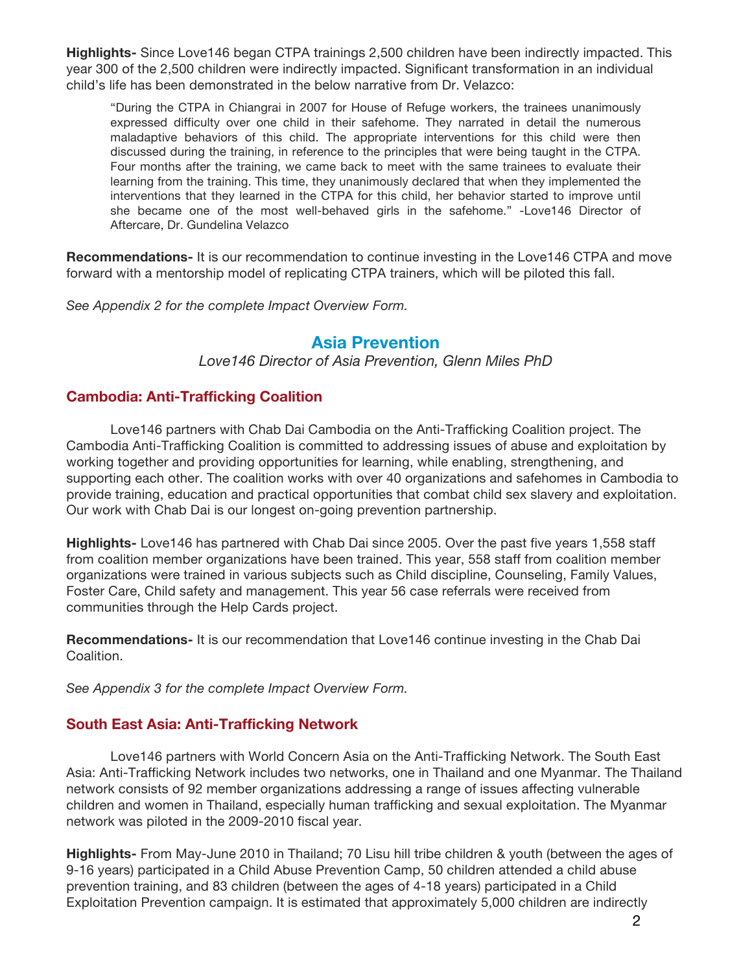**Highlights-** Since Love146 began CTPA trainings 2,500 children have been indirectly impacted. This year 300 of the 2,500 children were indirectly impacted. Significant transformation in an individual child's life has been demonstrated in the below narrative from Dr. Velazco:

"During the CTPA in Chiangrai in 2007 for House of Refuge workers, the trainees unanimously expressed difficulty over one child in their safehome. They narrated in detail the numerous maladaptive behaviors of this child. The appropriate interventions for this child were then discussed during the training, in reference to the principles that were being taught in the CTPA. Four months after the training, we came back to meet with the same trainees to evaluate their learning from the training. This time, they unanimously declared that when they implemented the interventions that they learned in the CTPA for this child, her behavior started to improve until she became one of the most well-behaved girls in the safehome." -Love146 Director of Aftercare, Dr. Gundelina Velazco

**Recommendations-** It is our recommendation to continue investing in the Love146 CTPA and move forward with a mentorship model of replicating CTPA trainers, which will be piloted this fall.

*See Appendix 2 for the complete Impact Overview Form.*

# **Asia Prevention**

*Love146 Director of Asia Prevention, Glenn Miles PhD*

# **Cambodia: Anti-Trafficking Coalition**

Love146 partners with Chab Dai Cambodia on the Anti-Trafficking Coalition project. The Cambodia Anti-Trafficking Coalition is committed to addressing issues of abuse and exploitation by working together and providing opportunities for learning, while enabling, strengthening, and supporting each other. The coalition works with over 40 organizations and safehomes in Cambodia to provide training, education and practical opportunities that combat child sex slavery and exploitation. Our work with Chab Dai is our longest on-going prevention partnership.

**Highlights-** Love146 has partnered with Chab Dai since 2005. Over the past five years 1,558 staff from coalition member organizations have been trained. This year, 558 staff from coalition member organizations were trained in various subjects such as Child discipline, Counseling, Family Values, Foster Care, Child safety and management. This year 56 case referrals were received from communities through the Help Cards project.

**Recommendations-** It is our recommendation that Love146 continue investing in the Chab Dai Coalition.

*See Appendix 3 for the complete Impact Overview Form.*

# **South East Asia: Anti-Trafficking Network**

Love146 partners with World Concern Asia on the Anti-Trafficking Network. The South East Asia: Anti-Trafficking Network includes two networks, one in Thailand and one Myanmar. The Thailand network consists of 92 member organizations addressing a range of issues affecting vulnerable children and women in Thailand, especially human trafficking and sexual exploitation. The Myanmar network was piloted in the 2009-2010 fiscal year.

**Highlights-** From May-June 2010 in Thailand; 70 Lisu hill tribe children & youth (between the ages of 9-16 years) participated in a Child Abuse Prevention Camp, 50 children attended a child abuse prevention training, and 83 children (between the ages of 4-18 years) participated in a Child Exploitation Prevention campaign. It is estimated that approximately 5,000 children are indirectly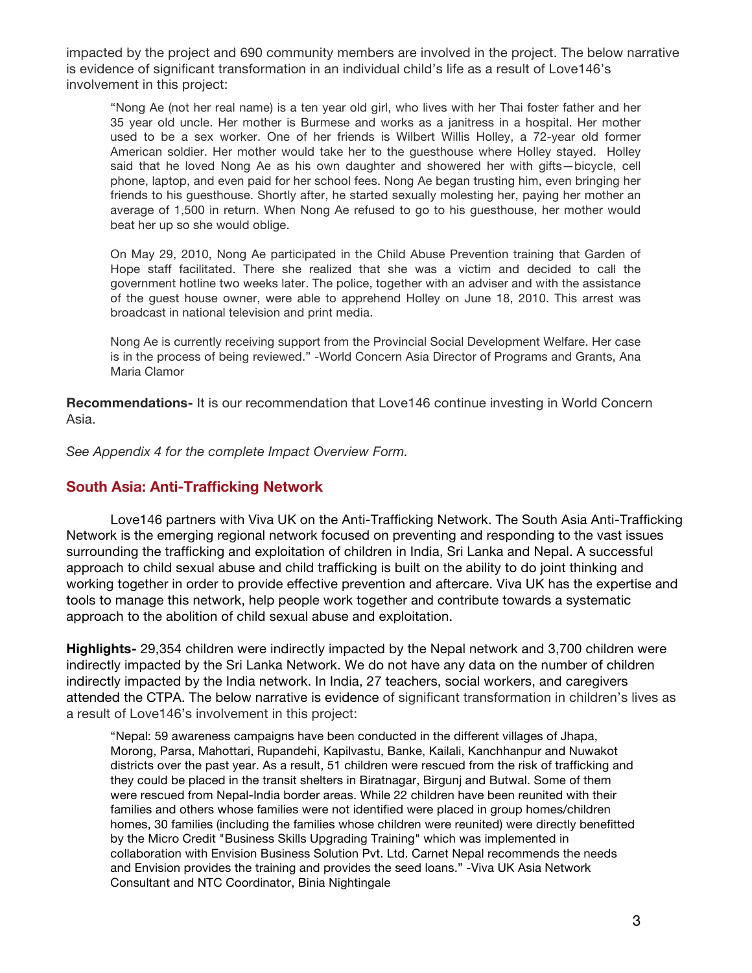impacted by the project and 690 community members are involved in the project. The below narrative is evidence of significant transformation in an individual child's life as a result of Love146's involvement in this project:

"Nong Ae (not her real name) is a ten year old girl, who lives with her Thai foster father and her 35 year old uncle. Her mother is Burmese and works as a janitress in a hospital. Her mother used to be a sex worker. One of her friends is Wilbert Willis Holley, a 72-year old former American soldier. Her mother would take her to the guesthouse where Holley stayed. Holley said that he loved Nong Ae as his own daughter and showered her with gifts—bicycle, cell phone, laptop, and even paid for her school fees. Nong Ae began trusting him, even bringing her friends to his guesthouse. Shortly after, he started sexually molesting her, paying her mother an average of 1,500 in return. When Nong Ae refused to go to his guesthouse, her mother would beat her up so she would oblige.

On May 29, 2010, Nong Ae participated in the Child Abuse Prevention training that Garden of Hope staff facilitated. There she realized that she was a victim and decided to call the government hotline two weeks later. The police, together with an adviser and with the assistance of the guest house owner, were able to apprehend Holley on June 18, 2010. This arrest was broadcast in national television and print media.

Nong Ae is currently receiving support from the Provincial Social Development Welfare. Her case is in the process of being reviewed." -World Concern Asia Director of Programs and Grants, Ana Maria Clamor

**Recommendations-** It is our recommendation that Love146 continue investing in World Concern Asia.

*See Appendix 4 for the complete Impact Overview Form.*

## **South Asia: Anti-Trafficking Network**

Love146 partners with Viva UK on the Anti-Trafficking Network. The South Asia Anti-Trafficking Network is the emerging regional network focused on preventing and responding to the vast issues surrounding the trafficking and exploitation of children in India, Sri Lanka and Nepal. A successful approach to child sexual abuse and child trafficking is built on the ability to do joint thinking and working together in order to provide effective prevention and aftercare. Viva UK has the expertise and tools to manage this network, help people work together and contribute towards a systematic approach to the abolition of child sexual abuse and exploitation.

**Highlights-** 29,354 children were indirectly impacted by the Nepal network and 3,700 children were indirectly impacted by the Sri Lanka Network. We do not have any data on the number of children indirectly impacted by the India network. In India, 27 teachers, social workers, and caregivers attended the CTPA. The below narrative is evidence of significant transformation in children's lives as a result of Love146's involvement in this project:

"Nepal: 59 awareness campaigns have been conducted in the different villages of Jhapa, Morong, Parsa, Mahottari, Rupandehi, Kapilvastu, Banke, Kailali, Kanchhanpur and Nuwakot districts over the past year. As a result, 51 children were rescued from the risk of trafficking and they could be placed in the transit shelters in Biratnagar, Birgunj and Butwal. Some of them were rescued from Nepal-India border areas. While 22 children have been reunited with their families and others whose families were not identified were placed in group homes/children homes, 30 families (including the families whose children were reunited) were directly benefitted by the Micro Credit "Business Skills Upgrading Training" which was implemented in collaboration with Envision Business Solution Pvt. Ltd. Carnet Nepal recommends the needs and Envision provides the training and provides the seed loans." -Viva UK Asia Network Consultant and NTC Coordinator, Binia Nightingale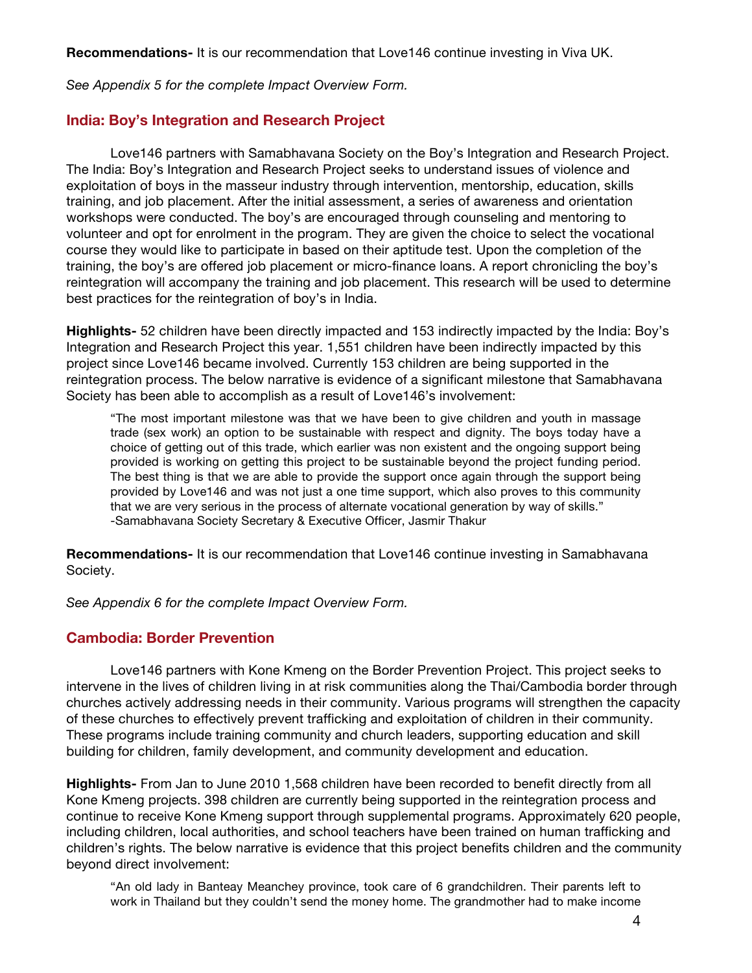**Recommendations-** It is our recommendation that Love146 continue investing in Viva UK.

*See Appendix 5 for the complete Impact Overview Form.* 

## **India: Boy's Integration and Research Project**

Love146 partners with Samabhavana Society on the Boy's Integration and Research Project. The India: Boy's Integration and Research Project seeks to understand issues of violence and exploitation of boys in the masseur industry through intervention, mentorship, education, skills training, and job placement. After the initial assessment, a series of awareness and orientation workshops were conducted. The boy's are encouraged through counseling and mentoring to volunteer and opt for enrolment in the program. They are given the choice to select the vocational course they would like to participate in based on their aptitude test. Upon the completion of the training, the boy's are offered job placement or micro-finance loans. A report chronicling the boy's reintegration will accompany the training and job placement. This research will be used to determine best practices for the reintegration of boy's in India.

**Highlights-** 52 children have been directly impacted and 153 indirectly impacted by the India: Boy's Integration and Research Project this year. 1,551 children have been indirectly impacted by this project since Love146 became involved. Currently 153 children are being supported in the reintegration process. The below narrative is evidence of a significant milestone that Samabhavana Society has been able to accomplish as a result of Love146's involvement:

"The most important milestone was that we have been to give children and youth in massage trade (sex work) an option to be sustainable with respect and dignity. The boys today have a choice of getting out of this trade, which earlier was non existent and the ongoing support being provided is working on getting this project to be sustainable beyond the project funding period. The best thing is that we are able to provide the support once again through the support being provided by Love146 and was not just a one time support, which also proves to this community that we are very serious in the process of alternate vocational generation by way of skills." -Samabhavana Society Secretary & Executive Officer, Jasmir Thakur

**Recommendations-** It is our recommendation that Love146 continue investing in Samabhavana Society.

*See Appendix 6 for the complete Impact Overview Form.*

# **Cambodia: Border Prevention**

Love146 partners with Kone Kmeng on the Border Prevention Project. This project seeks to intervene in the lives of children living in at risk communities along the Thai/Cambodia border through churches actively addressing needs in their community. Various programs will strengthen the capacity of these churches to effectively prevent trafficking and exploitation of children in their community. These programs include training community and church leaders, supporting education and skill building for children, family development, and community development and education.

**Highlights-** From Jan to June 2010 1,568 children have been recorded to benefit directly from all Kone Kmeng projects. 398 children are currently being supported in the reintegration process and continue to receive Kone Kmeng support through supplemental programs. Approximately 620 people, including children, local authorities, and school teachers have been trained on human trafficking and children's rights. The below narrative is evidence that this project benefits children and the community beyond direct involvement:

"An old lady in Banteay Meanchey province, took care of 6 grandchildren. Their parents left to work in Thailand but they couldn't send the money home. The grandmother had to make income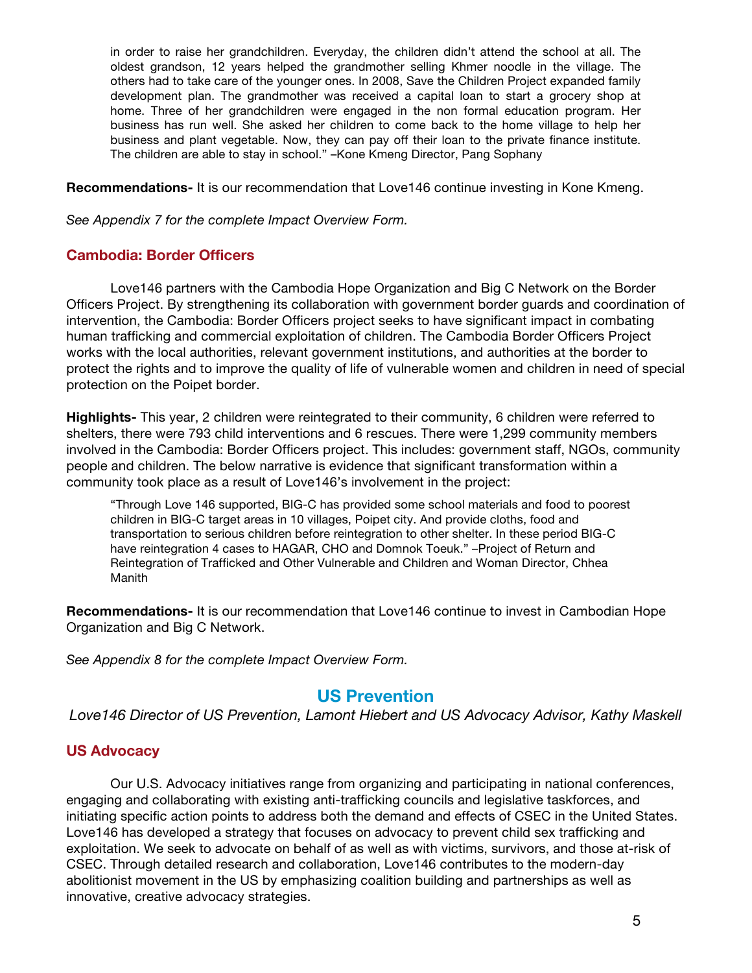in order to raise her grandchildren. Everyday, the children didn't attend the school at all. The oldest grandson, 12 years helped the grandmother selling Khmer noodle in the village. The others had to take care of the younger ones. In 2008, Save the Children Project expanded family development plan. The grandmother was received a capital loan to start a grocery shop at home. Three of her grandchildren were engaged in the non formal education program. Her business has run well. She asked her children to come back to the home village to help her business and plant vegetable. Now, they can pay off their loan to the private finance institute. The children are able to stay in school." –Kone Kmeng Director, Pang Sophany

**Recommendations-** It is our recommendation that Love146 continue investing in Kone Kmeng.

*See Appendix 7 for the complete Impact Overview Form.*

# **Cambodia: Border Officers**

Love146 partners with the Cambodia Hope Organization and Big C Network on the Border Officers Project. By strengthening its collaboration with government border guards and coordination of intervention, the Cambodia: Border Officers project seeks to have significant impact in combating human trafficking and commercial exploitation of children. The Cambodia Border Officers Project works with the local authorities, relevant government institutions, and authorities at the border to protect the rights and to improve the quality of life of vulnerable women and children in need of special protection on the Poipet border.

**Highlights-** This year, 2 children were reintegrated to their community, 6 children were referred to shelters, there were 793 child interventions and 6 rescues. There were 1,299 community members involved in the Cambodia: Border Officers project. This includes: government staff, NGOs, community people and children. The below narrative is evidence that significant transformation within a community took place as a result of Love146's involvement in the project:

"Through Love 146 supported, BIG-C has provided some school materials and food to poorest children in BIG-C target areas in 10 villages, Poipet city. And provide cloths, food and transportation to serious children before reintegration to other shelter. In these period BIG-C have reintegration 4 cases to HAGAR, CHO and Domnok Toeuk." –Project of Return and Reintegration of Trafficked and Other Vulnerable and Children and Woman Director, Chhea Manith

**Recommendations-** It is our recommendation that Love146 continue to invest in Cambodian Hope Organization and Big C Network.

*See Appendix 8 for the complete Impact Overview Form.*

# **US Prevention**

*Love146 Director of US Prevention, Lamont Hiebert and US Advocacy Advisor, Kathy Maskell*

# **US Advocacy**

Our U.S. Advocacy initiatives range from organizing and participating in national conferences, engaging and collaborating with existing anti-trafficking councils and legislative taskforces, and initiating specific action points to address both the demand and effects of CSEC in the United States. Love146 has developed a strategy that focuses on advocacy to prevent child sex trafficking and exploitation. We seek to advocate on behalf of as well as with victims, survivors, and those at-risk of CSEC. Through detailed research and collaboration, Love146 contributes to the modern-day abolitionist movement in the US by emphasizing coalition building and partnerships as well as innovative, creative advocacy strategies.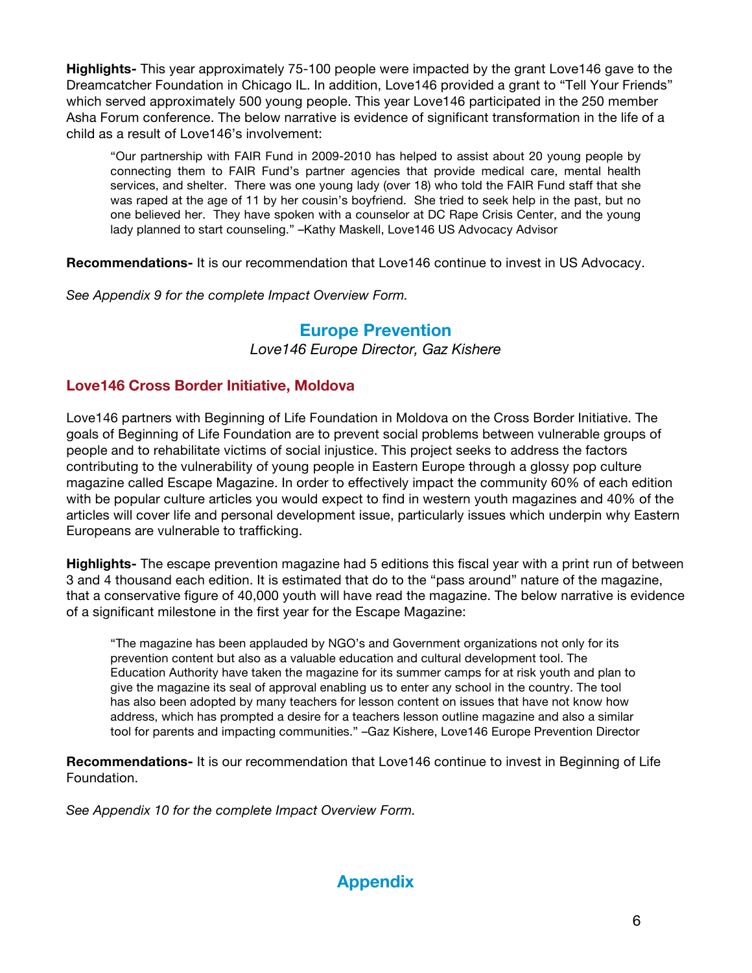**Highlights-** This year approximately 75-100 people were impacted by the grant Love146 gave to the Dreamcatcher Foundation in Chicago IL. In addition, Love146 provided a grant to "Tell Your Friends" which served approximately 500 young people. This year Love146 participated in the 250 member Asha Forum conference. The below narrative is evidence of significant transformation in the life of a child as a result of Love146's involvement:

"Our partnership with FAIR Fund in 2009-2010 has helped to assist about 20 young people by connecting them to FAIR Fund's partner agencies that provide medical care, mental health services, and shelter. There was one young lady (over 18) who told the FAIR Fund staff that she was raped at the age of 11 by her cousin's boyfriend. She tried to seek help in the past, but no one believed her. They have spoken with a counselor at DC Rape Crisis Center, and the young lady planned to start counseling." –Kathy Maskell, Love146 US Advocacy Advisor

**Recommendations-** It is our recommendation that Love146 continue to invest in US Advocacy.

*See Appendix 9 for the complete Impact Overview Form.*

# **Europe Prevention**

*Love146 Europe Director, Gaz Kishere*

# **Love146 Cross Border Initiative, Moldova**

Love146 partners with Beginning of Life Foundation in Moldova on the Cross Border Initiative. The goals of Beginning of Life Foundation are to prevent social problems between vulnerable groups of people and to rehabilitate victims of social injustice. This project seeks to address the factors contributing to the vulnerability of young people in Eastern Europe through a glossy pop culture magazine called Escape Magazine. In order to effectively impact the community 60% of each edition with be popular culture articles you would expect to find in western youth magazines and 40% of the articles will cover life and personal development issue, particularly issues which underpin why Eastern Europeans are vulnerable to trafficking.

**Highlights-** The escape prevention magazine had 5 editions this fiscal year with a print run of between 3 and 4 thousand each edition. It is estimated that do to the "pass around" nature of the magazine, that a conservative figure of 40,000 youth will have read the magazine. The below narrative is evidence of a significant milestone in the first year for the Escape Magazine:

"The magazine has been applauded by NGO's and Government organizations not only for its prevention content but also as a valuable education and cultural development tool. The Education Authority have taken the magazine for its summer camps for at risk youth and plan to give the magazine its seal of approval enabling us to enter any school in the country. The tool has also been adopted by many teachers for lesson content on issues that have not know how address, which has prompted a desire for a teachers lesson outline magazine and also a similar tool for parents and impacting communities." –Gaz Kishere, Love146 Europe Prevention Director

**Recommendations-** It is our recommendation that Love146 continue to invest in Beginning of Life Foundation.

*See Appendix 10 for the complete Impact Overview Form.*

# **Appendix**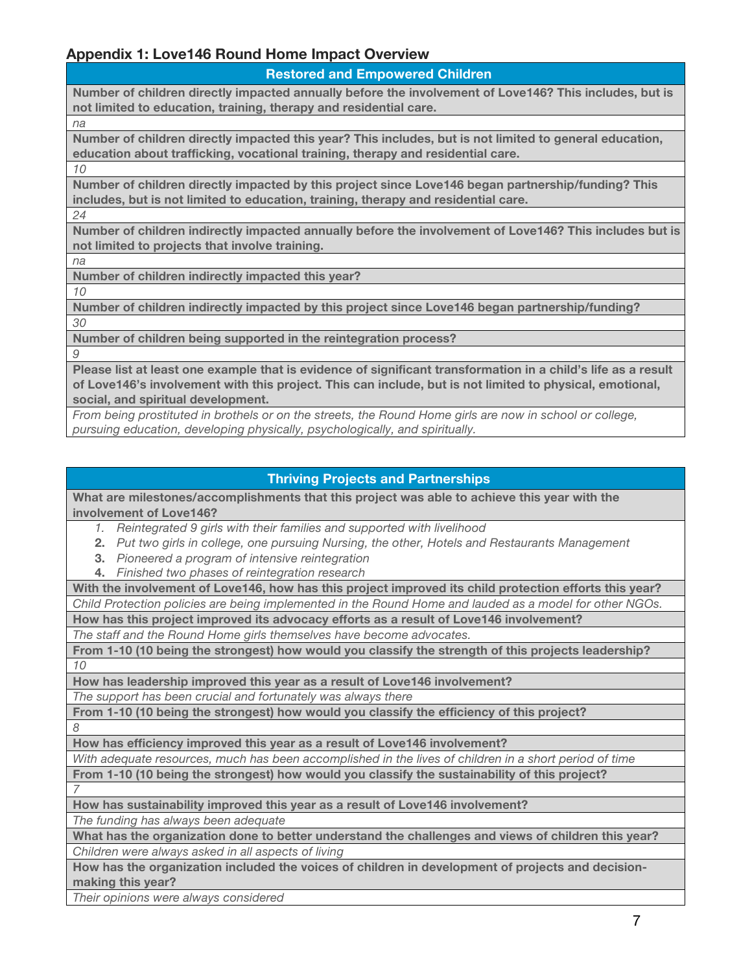# **Appendix 1: Love146 Round Home Impact Overview**

**Restored and Empowered Children**

**Number of children directly impacted annually before the involvement of Love146? This includes, but is not limited to education, training, therapy and residential care.**

*na*

**Number of children directly impacted this year? This includes, but is not limited to general education, education about trafficking, vocational training, therapy and residential care.**

**Number of children directly impacted by this project since Love146 began partnership/funding? This includes, but is not limited to education, training, therapy and residential care.**

*24*

*10*

**Number of children indirectly impacted annually before the involvement of Love146? This includes but is not limited to projects that involve training.** 

*na*

**Number of children indirectly impacted this year?**

*10*

**Number of children indirectly impacted by this project since Love146 began partnership/funding?**

*30*

**Number of children being supported in the reintegration process?**

*9*

**Please list at least one example that is evidence of significant transformation in a child's life as a result of Love146's involvement with this project. This can include, but is not limited to physical, emotional, social, and spiritual development.**

*From being prostituted in brothels or on the streets, the Round Home girls are now in school or college, pursuing education, developing physically, psychologically, and spiritually.*

# **Thriving Projects and Partnerships**

**What are milestones/accomplishments that this project was able to achieve this year with the involvement of Love146?**

*1. Reintegrated 9 girls with their families and supported with livelihood*

**2.** *Put two girls in college, one pursuing Nursing, the other, Hotels and Restaurants Management*

- **3.** *Pioneered a program of intensive reintegration*
- **4.** *Finished two phases of reintegration research*

**With the involvement of Love146, how has this project improved its child protection efforts this year?** *Child Protection policies are being implemented in the Round Home and lauded as a model for other NGOs.*

**How has this project improved its advocacy efforts as a result of Love146 involvement?**

*The staff and the Round Home girls themselves have become advocates.*

**From 1-10 (10 being the strongest) how would you classify the strength of this projects leadership?** *10*

**How has leadership improved this year as a result of Love146 involvement?**

*The support has been crucial and fortunately was always there*

**From 1-10 (10 being the strongest) how would you classify the efficiency of this project?** *8*

**How has efficiency improved this year as a result of Love146 involvement?**

*With adequate resources, much has been accomplished in the lives of children in a short period of time*

**From 1-10 (10 being the strongest) how would you classify the sustainability of this project?**  *7*

**How has sustainability improved this year as a result of Love146 involvement?** *The funding has always been adequate*

**What has the organization done to better understand the challenges and views of children this year?** *Children were always asked in all aspects of living*

**How has the organization included the voices of children in development of projects and decisionmaking this year?**

*Their opinions were always considered*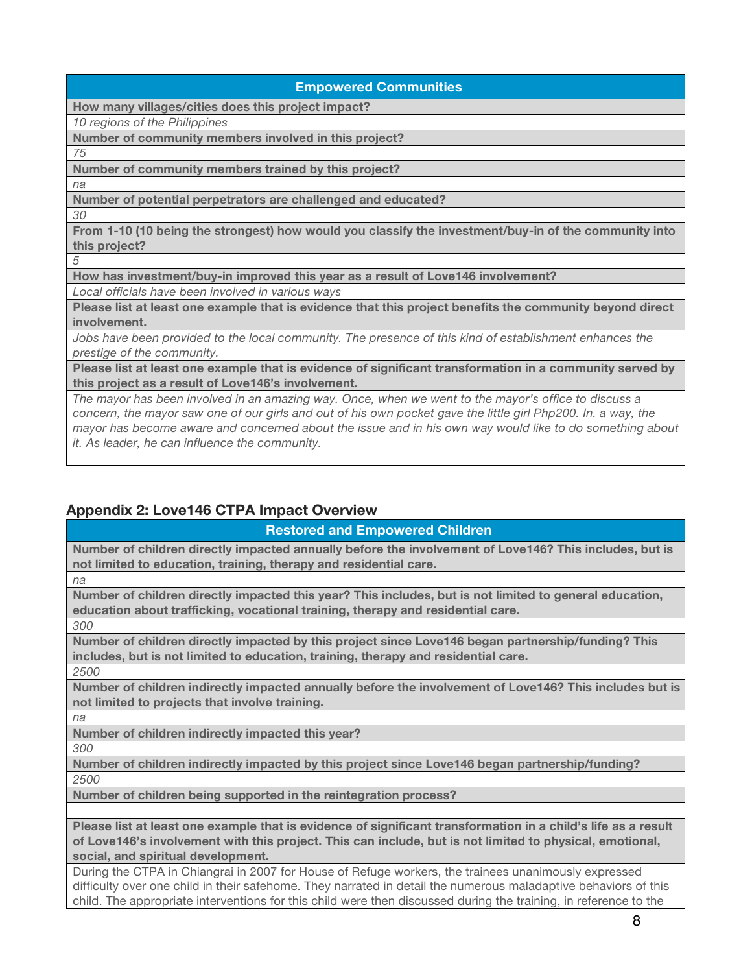|  | <b>Empowered Communities</b> |  |
|--|------------------------------|--|
|  |                              |  |

**How many villages/cities does this project impact?**

*10 regions of the Philippines*

**Number of community members involved in this project?**

*75*

**Number of community members trained by this project?**

*na*

**Number of potential perpetrators are challenged and educated?**

*30*

**From 1-10 (10 being the strongest) how would you classify the investment/buy-in of the community into this project?**

*5*

**How has investment/buy-in improved this year as a result of Love146 involvement?**

*Local officials have been involved in various ways*

**Please list at least one example that is evidence that this project benefits the community beyond direct involvement.**

Jobs have been provided to the local community. The presence of this kind of establishment enhances the *prestige of the community.*

**Please list at least one example that is evidence of significant transformation in a community served by this project as a result of Love146's involvement.**

*The mayor has been involved in an amazing way. Once, when we went to the mayor's office to discuss a*  concern, the mayor saw one of our girls and out of his own pocket gave the little girl Php200. In. a way, the *mayor has become aware and concerned about the issue and in his own way would like to do something about it. As leader, he can influence the community.*

# **Appendix 2: Love146 CTPA Impact Overview**

**Restored and Empowered Children**

**Number of children directly impacted annually before the involvement of Love146? This includes, but is not limited to education, training, therapy and residential care.**

*na*

**Number of children directly impacted this year? This includes, but is not limited to general education, education about trafficking, vocational training, therapy and residential care.**

*300*

**Number of children directly impacted by this project since Love146 began partnership/funding? This includes, but is not limited to education, training, therapy and residential care.**

*2500*

**Number of children indirectly impacted annually before the involvement of Love146? This includes but is not limited to projects that involve training.** 

*na*

**Number of children indirectly impacted this year?**

*300*

**Number of children indirectly impacted by this project since Love146 began partnership/funding?** *2500*

**Number of children being supported in the reintegration process?**

**Please list at least one example that is evidence of significant transformation in a child's life as a result of Love146's involvement with this project. This can include, but is not limited to physical, emotional, social, and spiritual development.**

During the CTPA in Chiangrai in 2007 for House of Refuge workers, the trainees unanimously expressed difficulty over one child in their safehome. They narrated in detail the numerous maladaptive behaviors of this child. The appropriate interventions for this child were then discussed during the training, in reference to the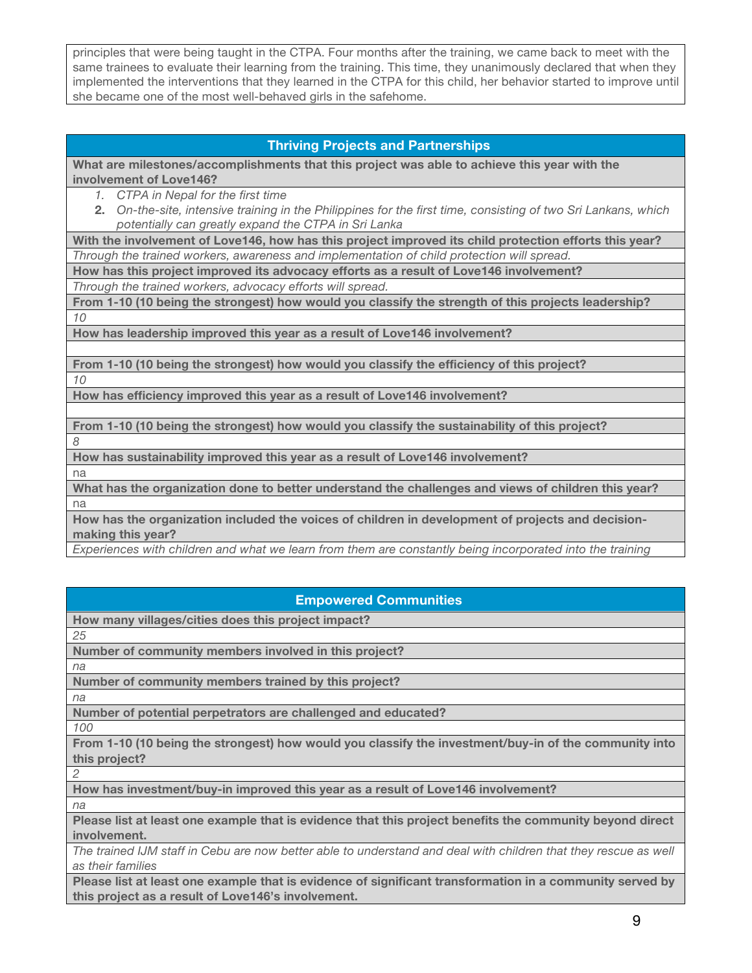principles that were being taught in the CTPA. Four months after the training, we came back to meet with the same trainees to evaluate their learning from the training. This time, they unanimously declared that when they implemented the interventions that they learned in the CTPA for this child, her behavior started to improve until she became one of the most well-behaved girls in the safehome.

## **Thriving Projects and Partnerships**

**What are milestones/accomplishments that this project was able to achieve this year with the involvement of Love146?**

- *1. CTPA in Nepal for the first time*
- **2.** *On-the-site, intensive training in the Philippines for the first time, consisting of two Sri Lankans, which potentially can greatly expand the CTPA in Sri Lanka*

**With the involvement of Love146, how has this project improved its child protection efforts this year?** *Through the trained workers, awareness and implementation of child protection will spread.*

**How has this project improved its advocacy efforts as a result of Love146 involvement?**

*Through the trained workers, advocacy efforts will spread.*

**From 1-10 (10 being the strongest) how would you classify the strength of this projects leadership?** *10*

**How has leadership improved this year as a result of Love146 involvement?**

**From 1-10 (10 being the strongest) how would you classify the efficiency of this project?** *10*

**How has efficiency improved this year as a result of Love146 involvement?**

**From 1-10 (10 being the strongest) how would you classify the sustainability of this project?** 

**How has sustainability improved this year as a result of Love146 involvement?**

na

*8*

**What has the organization done to better understand the challenges and views of children this year?** na

**How has the organization included the voices of children in development of projects and decisionmaking this year?**

*Experiences with children and what we learn from them are constantly being incorporated into the training*

## **Empowered Communities**

**How many villages/cities does this project impact?**

*25*

**Number of community members involved in this project?**

**Number of community members trained by this project?**

*na*

*na*

**Number of potential perpetrators are challenged and educated?**

*100*

**From 1-10 (10 being the strongest) how would you classify the investment/buy-in of the community into this project?**

**How has investment/buy-in improved this year as a result of Love146 involvement?**

*na*

*2*

**Please list at least one example that is evidence that this project benefits the community beyond direct involvement.**

*The trained IJM staff in Cebu are now better able to understand and deal with children that they rescue as well as their families*

**Please list at least one example that is evidence of significant transformation in a community served by this project as a result of Love146's involvement.**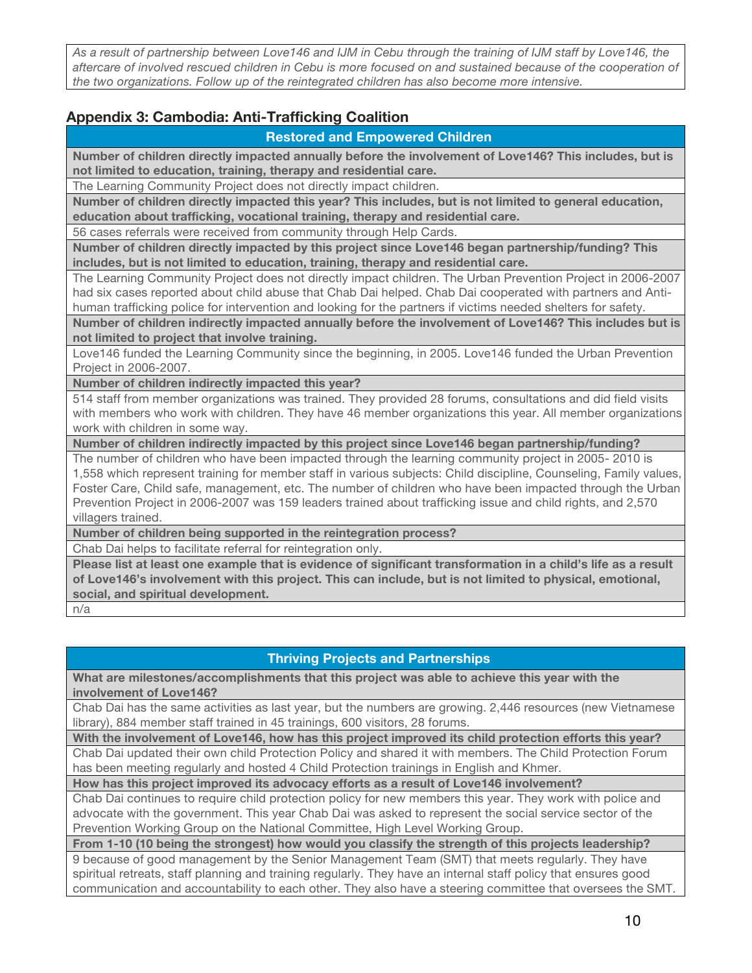*As a result of partnership between Love146 and IJM in Cebu through the training of IJM staff by Love146, the aftercare of involved rescued children in Cebu is more focused on and sustained because of the cooperation of the two organizations. Follow up of the reintegrated children has also become more intensive.*

# **Appendix 3: Cambodia: Anti-Trafficking Coalition**

## **Restored and Empowered Children**

**Number of children directly impacted annually before the involvement of Love146? This includes, but is not limited to education, training, therapy and residential care.**

The Learning Community Project does not directly impact children.

**Number of children directly impacted this year? This includes, but is not limited to general education, education about trafficking, vocational training, therapy and residential care.**

56 cases referrals were received from community through Help Cards.

**Number of children directly impacted by this project since Love146 began partnership/funding? This includes, but is not limited to education, training, therapy and residential care.**

The Learning Community Project does not directly impact children. The Urban Prevention Project in 2006-2007 had six cases reported about child abuse that Chab Dai helped. Chab Dai cooperated with partners and Antihuman trafficking police for intervention and looking for the partners if victims needed shelters for safety.

**Number of children indirectly impacted annually before the involvement of Love146? This includes but is not limited to project that involve training.** 

Love146 funded the Learning Community since the beginning, in 2005. Love146 funded the Urban Prevention Project in 2006-2007.

**Number of children indirectly impacted this year?**

514 staff from member organizations was trained. They provided 28 forums, consultations and did field visits with members who work with children. They have 46 member organizations this year. All member organizations work with children in some way.

**Number of children indirectly impacted by this project since Love146 began partnership/funding?**

The number of children who have been impacted through the learning community project in 2005- 2010 is 1,558 which represent training for member staff in various subjects: Child discipline, Counseling, Family values, Foster Care, Child safe, management, etc. The number of children who have been impacted through the Urban Prevention Project in 2006-2007 was 159 leaders trained about trafficking issue and child rights, and 2,570 villagers trained.

**Number of children being supported in the reintegration process?**

Chab Dai helps to facilitate referral for reintegration only.

**Please list at least one example that is evidence of significant transformation in a child's life as a result of Love146's involvement with this project. This can include, but is not limited to physical, emotional, social, and spiritual development.**

n/a

# **Thriving Projects and Partnerships**

**What are milestones/accomplishments that this project was able to achieve this year with the involvement of Love146?**

Chab Dai has the same activities as last year, but the numbers are growing. 2,446 resources (new Vietnamese library), 884 member staff trained in 45 trainings, 600 visitors, 28 forums.

**With the involvement of Love146, how has this project improved its child protection efforts this year?**

Chab Dai updated their own child Protection Policy and shared it with members. The Child Protection Forum has been meeting regularly and hosted 4 Child Protection trainings in English and Khmer.

**How has this project improved its advocacy efforts as a result of Love146 involvement?**

Chab Dai continues to require child protection policy for new members this year. They work with police and advocate with the government. This year Chab Dai was asked to represent the social service sector of the Prevention Working Group on the National Committee, High Level Working Group.

**From 1-10 (10 being the strongest) how would you classify the strength of this projects leadership?**

9 because of good management by the Senior Management Team (SMT) that meets regularly. They have spiritual retreats, staff planning and training regularly. They have an internal staff policy that ensures good communication and accountability to each other. They also have a steering committee that oversees the SMT.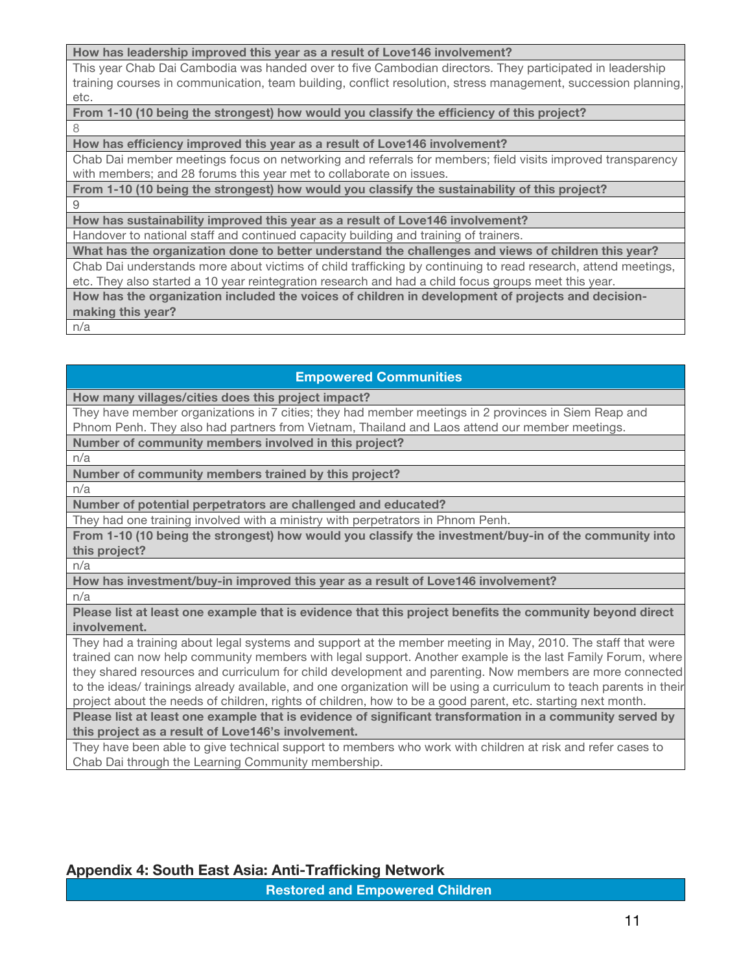#### **How has leadership improved this year as a result of Love146 involvement?**

This year Chab Dai Cambodia was handed over to five Cambodian directors. They participated in leadership training courses in communication, team building, conflict resolution, stress management, succession planning, etc.

#### **From 1-10 (10 being the strongest) how would you classify the efficiency of this project?** 8

#### **How has efficiency improved this year as a result of Love146 involvement?**

Chab Dai member meetings focus on networking and referrals for members; field visits improved transparency with members; and 28 forums this year met to collaborate on issues.

## **From 1-10 (10 being the strongest) how would you classify the sustainability of this project?**

9

**How has sustainability improved this year as a result of Love146 involvement?**

Handover to national staff and continued capacity building and training of trainers.

**What has the organization done to better understand the challenges and views of children this year?**

Chab Dai understands more about victims of child trafficking by continuing to read research, attend meetings, etc. They also started a 10 year reintegration research and had a child focus groups meet this year.

**How has the organization included the voices of children in development of projects and decisionmaking this year?**

n/a

## **Empowered Communities**

**How many villages/cities does this project impact?**

They have member organizations in 7 cities; they had member meetings in 2 provinces in Siem Reap and Phnom Penh. They also had partners from Vietnam, Thailand and Laos attend our member meetings.

**Number of community members involved in this project?**

n/a

**Number of community members trained by this project?**

n/a

**Number of potential perpetrators are challenged and educated?**

They had one training involved with a ministry with perpetrators in Phnom Penh.

**From 1-10 (10 being the strongest) how would you classify the investment/buy-in of the community into this project?**

n/a

n/a

**How has investment/buy-in improved this year as a result of Love146 involvement?**

**Please list at least one example that is evidence that this project benefits the community beyond direct** 

**involvement.**

They had a training about legal systems and support at the member meeting in May, 2010. The staff that were trained can now help community members with legal support. Another example is the last Family Forum, where they shared resources and curriculum for child development and parenting. Now members are more connected to the ideas/ trainings already available, and one organization will be using a curriculum to teach parents in their project about the needs of children, rights of children, how to be a good parent, etc. starting next month.

**Please list at least one example that is evidence of significant transformation in a community served by this project as a result of Love146's involvement.**

They have been able to give technical support to members who work with children at risk and refer cases to Chab Dai through the Learning Community membership.

# **Appendix 4: South East Asia: Anti-Trafficking Network**

**Restored and Empowered Children**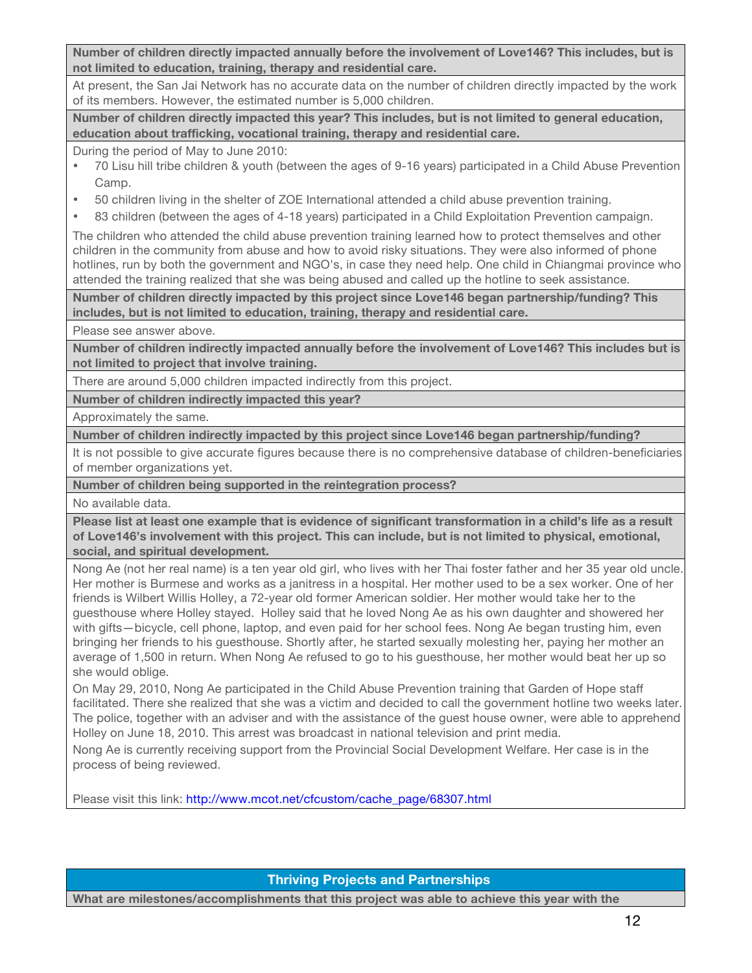**Number of children directly impacted annually before the involvement of Love146? This includes, but is not limited to education, training, therapy and residential care.**

At present, the San Jai Network has no accurate data on the number of children directly impacted by the work of its members. However, the estimated number is 5,000 children.

**Number of children directly impacted this year? This includes, but is not limited to general education, education about trafficking, vocational training, therapy and residential care.**

During the period of May to June 2010:

- 70 Lisu hill tribe children & youth (between the ages of 9-16 years) participated in a Child Abuse Prevention Camp.
- 50 children living in the shelter of ZOE International attended a child abuse prevention training.
- 83 children (between the ages of 4-18 years) participated in a Child Exploitation Prevention campaign.

The children who attended the child abuse prevention training learned how to protect themselves and other children in the community from abuse and how to avoid risky situations. They were also informed of phone hotlines, run by both the government and NGO's, in case they need help. One child in Chiangmai province who attended the training realized that she was being abused and called up the hotline to seek assistance.

**Number of children directly impacted by this project since Love146 began partnership/funding? This includes, but is not limited to education, training, therapy and residential care.**

Please see answer above.

**Number of children indirectly impacted annually before the involvement of Love146? This includes but is not limited to project that involve training.** 

There are around 5,000 children impacted indirectly from this project.

**Number of children indirectly impacted this year?**

Approximately the same.

**Number of children indirectly impacted by this project since Love146 began partnership/funding?**

It is not possible to give accurate figures because there is no comprehensive database of children-beneficiaries of member organizations yet.

**Number of children being supported in the reintegration process?**

No available data.

**Please list at least one example that is evidence of significant transformation in a child's life as a result of Love146's involvement with this project. This can include, but is not limited to physical, emotional, social, and spiritual development.**

Nong Ae (not her real name) is a ten year old girl, who lives with her Thai foster father and her 35 year old uncle. Her mother is Burmese and works as a janitress in a hospital. Her mother used to be a sex worker. One of her friends is Wilbert Willis Holley, a 72-year old former American soldier. Her mother would take her to the guesthouse where Holley stayed. Holley said that he loved Nong Ae as his own daughter and showered her with gifts—bicycle, cell phone, laptop, and even paid for her school fees. Nong Ae began trusting him, even bringing her friends to his guesthouse. Shortly after, he started sexually molesting her, paying her mother an average of 1,500 in return. When Nong Ae refused to go to his guesthouse, her mother would beat her up so she would oblige.

On May 29, 2010, Nong Ae participated in the Child Abuse Prevention training that Garden of Hope staff facilitated. There she realized that she was a victim and decided to call the government hotline two weeks later. The police, together with an adviser and with the assistance of the guest house owner, were able to apprehend Holley on June 18, 2010. This arrest was broadcast in national television and print media.

Nong Ae is currently receiving support from the Provincial Social Development Welfare. Her case is in the process of being reviewed.

Please visit this link: http://www.mcot.net/cfcustom/cache\_page/68307.html

**Thriving Projects and Partnerships**

**What are milestones/accomplishments that this project was able to achieve this year with the**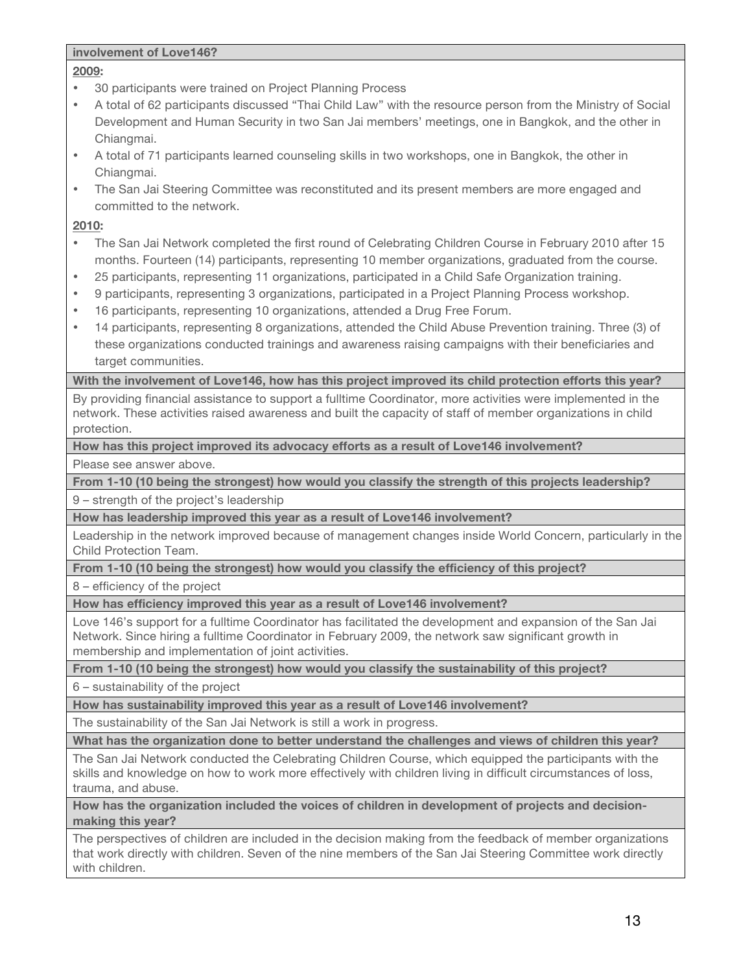### **involvement of Love146?**

## **2009:**

- 30 participants were trained on Project Planning Process
- A total of 62 participants discussed "Thai Child Law" with the resource person from the Ministry of Social Development and Human Security in two San Jai members' meetings, one in Bangkok, and the other in Chiangmai.
- A total of 71 participants learned counseling skills in two workshops, one in Bangkok, the other in Chiangmai.
- The San Jai Steering Committee was reconstituted and its present members are more engaged and committed to the network.

### **2010:**

- The San Jai Network completed the first round of Celebrating Children Course in February 2010 after 15 months. Fourteen (14) participants, representing 10 member organizations, graduated from the course.
- 25 participants, representing 11 organizations, participated in a Child Safe Organization training.
- 9 participants, representing 3 organizations, participated in a Project Planning Process workshop.
- 16 participants, representing 10 organizations, attended a Drug Free Forum.
- 14 participants, representing 8 organizations, attended the Child Abuse Prevention training. Three (3) of these organizations conducted trainings and awareness raising campaigns with their beneficiaries and target communities.

**With the involvement of Love146, how has this project improved its child protection efforts this year?**

By providing financial assistance to support a fulltime Coordinator, more activities were implemented in the network. These activities raised awareness and built the capacity of staff of member organizations in child protection.

**How has this project improved its advocacy efforts as a result of Love146 involvement?**

Please see answer above.

**From 1-10 (10 being the strongest) how would you classify the strength of this projects leadership?**

9 – strength of the project's leadership

**How has leadership improved this year as a result of Love146 involvement?**

Leadership in the network improved because of management changes inside World Concern, particularly in the Child Protection Team.

**From 1-10 (10 being the strongest) how would you classify the efficiency of this project?**

8 – efficiency of the project

**How has efficiency improved this year as a result of Love146 involvement?**

Love 146's support for a fulltime Coordinator has facilitated the development and expansion of the San Jai Network. Since hiring a fulltime Coordinator in February 2009, the network saw significant growth in membership and implementation of joint activities.

**From 1-10 (10 being the strongest) how would you classify the sustainability of this project?** 

6 – sustainability of the project

**How has sustainability improved this year as a result of Love146 involvement?**

The sustainability of the San Jai Network is still a work in progress.

**What has the organization done to better understand the challenges and views of children this year?**

The San Jai Network conducted the Celebrating Children Course, which equipped the participants with the skills and knowledge on how to work more effectively with children living in difficult circumstances of loss, trauma, and abuse.

**How has the organization included the voices of children in development of projects and decisionmaking this year?**

The perspectives of children are included in the decision making from the feedback of member organizations that work directly with children. Seven of the nine members of the San Jai Steering Committee work directly with children.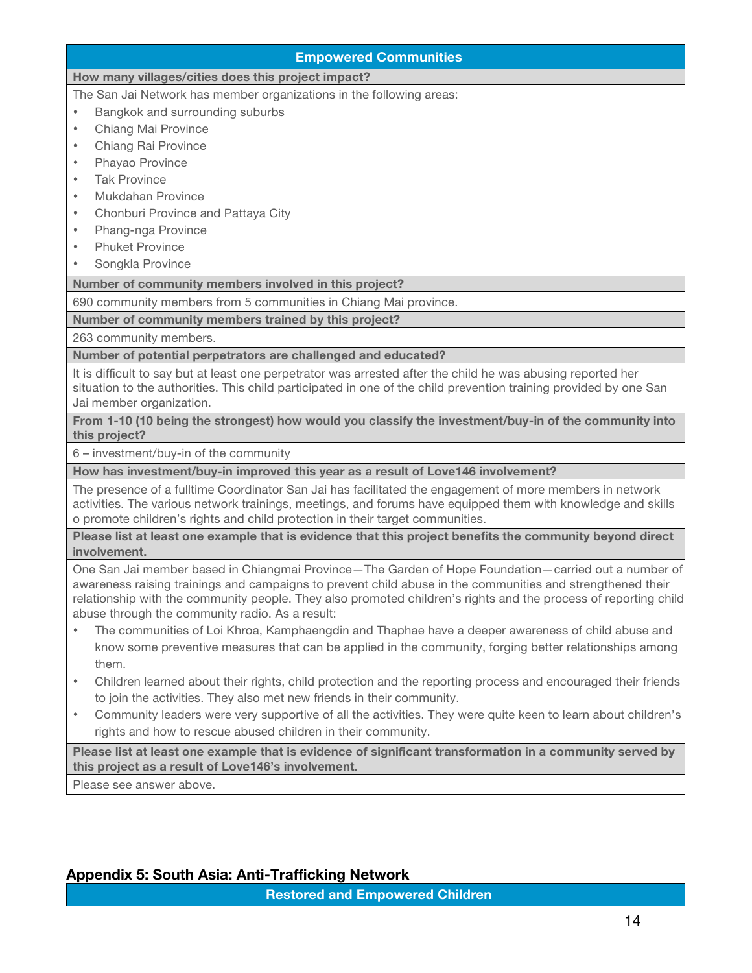| <b>Empowered Communities</b>                                                                                                                                                                                                                                                                                                                                                             |  |
|------------------------------------------------------------------------------------------------------------------------------------------------------------------------------------------------------------------------------------------------------------------------------------------------------------------------------------------------------------------------------------------|--|
| How many villages/cities does this project impact?                                                                                                                                                                                                                                                                                                                                       |  |
| The San Jai Network has member organizations in the following areas:                                                                                                                                                                                                                                                                                                                     |  |
| Bangkok and surrounding suburbs<br>$\bullet$                                                                                                                                                                                                                                                                                                                                             |  |
| Chiang Mai Province<br>$\bullet$                                                                                                                                                                                                                                                                                                                                                         |  |
| Chiang Rai Province<br>$\bullet$                                                                                                                                                                                                                                                                                                                                                         |  |
| Phayao Province<br>$\bullet$                                                                                                                                                                                                                                                                                                                                                             |  |
| <b>Tak Province</b><br>$\bullet$                                                                                                                                                                                                                                                                                                                                                         |  |
| <b>Mukdahan Province</b><br>$\bullet$                                                                                                                                                                                                                                                                                                                                                    |  |
| Chonburi Province and Pattaya City<br>$\bullet$                                                                                                                                                                                                                                                                                                                                          |  |
| Phang-nga Province<br>$\bullet$                                                                                                                                                                                                                                                                                                                                                          |  |
| <b>Phuket Province</b><br>$\bullet$                                                                                                                                                                                                                                                                                                                                                      |  |
| Songkla Province<br>$\bullet$                                                                                                                                                                                                                                                                                                                                                            |  |
| Number of community members involved in this project?                                                                                                                                                                                                                                                                                                                                    |  |
| 690 community members from 5 communities in Chiang Mai province.                                                                                                                                                                                                                                                                                                                         |  |
| Number of community members trained by this project?                                                                                                                                                                                                                                                                                                                                     |  |
| 263 community members.                                                                                                                                                                                                                                                                                                                                                                   |  |
| Number of potential perpetrators are challenged and educated?                                                                                                                                                                                                                                                                                                                            |  |
| It is difficult to say but at least one perpetrator was arrested after the child he was abusing reported her<br>situation to the authorities. This child participated in one of the child prevention training provided by one San<br>Jai member organization.                                                                                                                            |  |
| From 1-10 (10 being the strongest) how would you classify the investment/buy-in of the community into<br>this project?                                                                                                                                                                                                                                                                   |  |
| 6 - investment/buy-in of the community                                                                                                                                                                                                                                                                                                                                                   |  |
| How has investment/buy-in improved this year as a result of Love146 involvement?                                                                                                                                                                                                                                                                                                         |  |
| The presence of a fulltime Coordinator San Jai has facilitated the engagement of more members in network<br>activities. The various network trainings, meetings, and forums have equipped them with knowledge and skills<br>o promote children's rights and child protection in their target communities.                                                                                |  |
| Please list at least one example that is evidence that this project benefits the community beyond direct<br>involvement.                                                                                                                                                                                                                                                                 |  |
| One San Jai member based in Chiangmai Province-The Garden of Hope Foundation-carried out a number of<br>awareness raising trainings and campaigns to prevent child abuse in the communities and strengthened their<br>relationship with the community people. They also promoted children's rights and the process of reporting child<br>abuse through the community radio. As a result: |  |
| The communities of Loi Khroa, Kamphaengdin and Thaphae have a deeper awareness of child abuse and<br>$\bullet$<br>know some preventive measures that can be applied in the community, forging better relationships among<br>them.                                                                                                                                                        |  |
| Children learned about their rights, child protection and the reporting process and encouraged their friends                                                                                                                                                                                                                                                                             |  |

- arned about their rights, child protection and the reporting process and enc to join the activities. They also met new friends in their community.
- Community leaders were very supportive of all the activities. They were quite keen to learn about children's rights and how to rescue abused children in their community.

**Please list at least one example that is evidence of significant transformation in a community served by this project as a result of Love146's involvement.**

Please see answer above.

# **Appendix 5: South Asia: Anti-Trafficking Network**

**Restored and Empowered Children**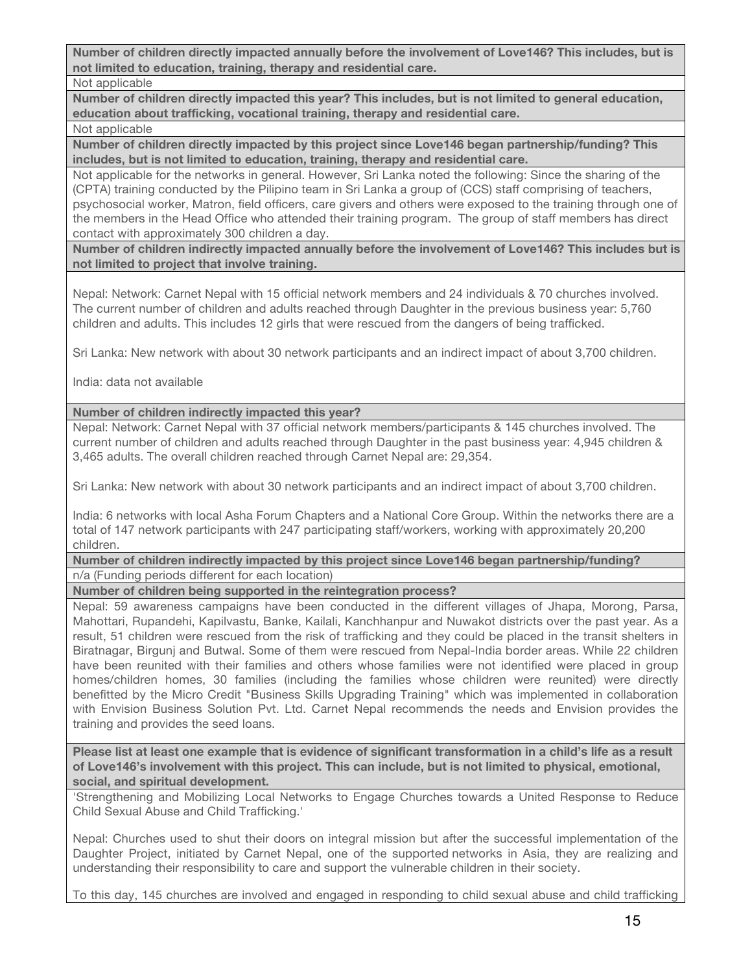**Number of children directly impacted annually before the involvement of Love146? This includes, but is not limited to education, training, therapy and residential care.**

Not applicable

**Number of children directly impacted this year? This includes, but is not limited to general education, education about trafficking, vocational training, therapy and residential care.** Not applicable

**Number of children directly impacted by this project since Love146 began partnership/funding? This includes, but is not limited to education, training, therapy and residential care.**

Not applicable for the networks in general. However, Sri Lanka noted the following: Since the sharing of the (CPTA) training conducted by the Pilipino team in Sri Lanka a group of (CCS) staff comprising of teachers, psychosocial worker, Matron, field officers, care givers and others were exposed to the training through one of the members in the Head Office who attended their training program. The group of staff members has direct contact with approximately 300 children a day.

**Number of children indirectly impacted annually before the involvement of Love146? This includes but is not limited to project that involve training.** 

Nepal: Network: Carnet Nepal with 15 official network members and 24 individuals & 70 churches involved. The current number of children and adults reached through Daughter in the previous business year: 5,760 children and adults. This includes 12 girls that were rescued from the dangers of being trafficked.

Sri Lanka: New network with about 30 network participants and an indirect impact of about 3,700 children.

India: data not available

### **Number of children indirectly impacted this year?**

Nepal: Network: Carnet Nepal with 37 official network members/participants & 145 churches involved. The current number of children and adults reached through Daughter in the past business year: 4,945 children & 3,465 adults. The overall children reached through Carnet Nepal are: 29,354.

Sri Lanka: New network with about 30 network participants and an indirect impact of about 3,700 children.

India: 6 networks with local Asha Forum Chapters and a National Core Group. Within the networks there are a total of 147 network participants with 247 participating staff/workers, working with approximately 20,200 children.

**Number of children indirectly impacted by this project since Love146 began partnership/funding?** n/a (Funding periods different for each location)

**Number of children being supported in the reintegration process?**

Nepal: 59 awareness campaigns have been conducted in the different villages of Jhapa, Morong, Parsa, Mahottari, Rupandehi, Kapilvastu, Banke, Kailali, Kanchhanpur and Nuwakot districts over the past year. As a result, 51 children were rescued from the risk of trafficking and they could be placed in the transit shelters in Biratnagar, Birgunj and Butwal. Some of them were rescued from Nepal-India border areas. While 22 children have been reunited with their families and others whose families were not identified were placed in group homes/children homes, 30 families (including the families whose children were reunited) were directly benefitted by the Micro Credit "Business Skills Upgrading Training" which was implemented in collaboration with Envision Business Solution Pvt. Ltd. Carnet Nepal recommends the needs and Envision provides the training and provides the seed loans.

**Please list at least one example that is evidence of significant transformation in a child's life as a result of Love146's involvement with this project. This can include, but is not limited to physical, emotional, social, and spiritual development.**

'Strengthening and Mobilizing Local Networks to Engage Churches towards a United Response to Reduce Child Sexual Abuse and Child Trafficking.'

Nepal: Churches used to shut their doors on integral mission but after the successful implementation of the Daughter Project, initiated by Carnet Nepal, one of the supported networks in Asia, they are realizing and understanding their responsibility to care and support the vulnerable children in their society.

To this day, 145 churches are involved and engaged in responding to child sexual abuse and child trafficking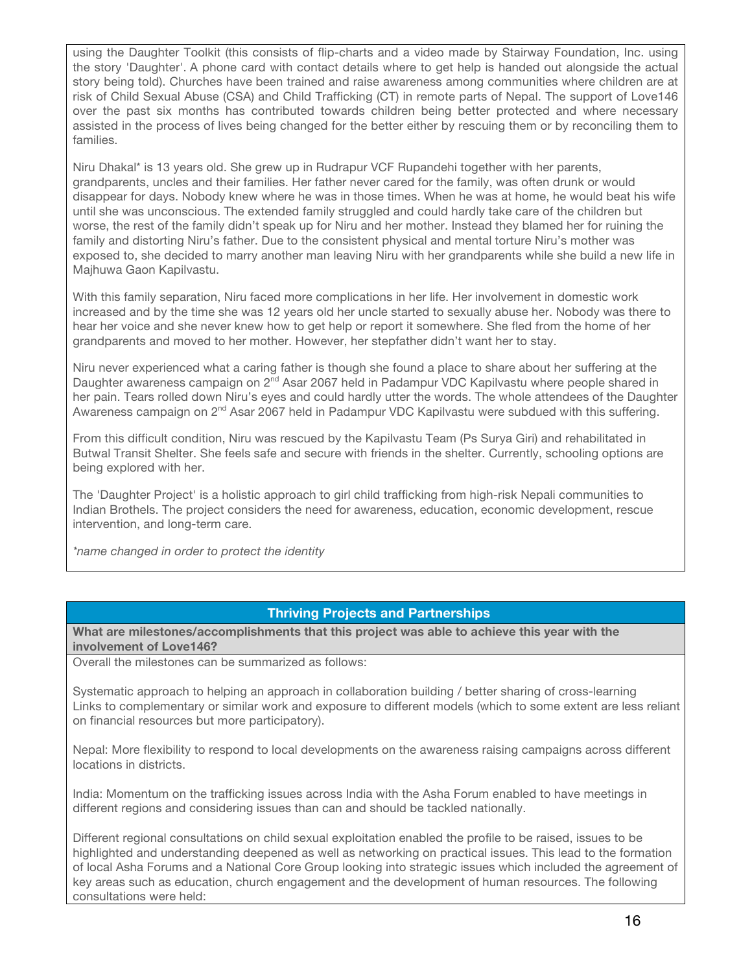using the Daughter Toolkit (this consists of flip-charts and a video made by Stairway Foundation, Inc. using the story 'Daughter'. A phone card with contact details where to get help is handed out alongside the actual story being told). Churches have been trained and raise awareness among communities where children are at risk of Child Sexual Abuse (CSA) and Child Trafficking (CT) in remote parts of Nepal. The support of Love146 over the past six months has contributed towards children being better protected and where necessary assisted in the process of lives being changed for the better either by rescuing them or by reconciling them to families.

Niru Dhakal\* is 13 years old. She grew up in Rudrapur VCF Rupandehi together with her parents, grandparents, uncles and their families. Her father never cared for the family, was often drunk or would disappear for days. Nobody knew where he was in those times. When he was at home, he would beat his wife until she was unconscious. The extended family struggled and could hardly take care of the children but worse, the rest of the family didn't speak up for Niru and her mother. Instead they blamed her for ruining the family and distorting Niru's father. Due to the consistent physical and mental torture Niru's mother was exposed to, she decided to marry another man leaving Niru with her grandparents while she build a new life in Majhuwa Gaon Kapilvastu.

With this family separation, Niru faced more complications in her life. Her involvement in domestic work increased and by the time she was 12 years old her uncle started to sexually abuse her. Nobody was there to hear her voice and she never knew how to get help or report it somewhere. She fled from the home of her grandparents and moved to her mother. However, her stepfather didn't want her to stay.

Niru never experienced what a caring father is though she found a place to share about her suffering at the Daughter awareness campaign on 2<sup>nd</sup> Asar 2067 held in Padampur VDC Kapilvastu where people shared in her pain. Tears rolled down Niru's eyes and could hardly utter the words. The whole attendees of the Daughter Awareness campaign on 2<sup>nd</sup> Asar 2067 held in Padampur VDC Kapilvastu were subdued with this suffering.

From this difficult condition, Niru was rescued by the Kapilvastu Team (Ps Surya Giri) and rehabilitated in Butwal Transit Shelter. She feels safe and secure with friends in the shelter. Currently, schooling options are being explored with her.

The 'Daughter Project' is a holistic approach to girl child trafficking from high-risk Nepali communities to Indian Brothels. The project considers the need for awareness, education, economic development, rescue intervention, and long-term care.

*\*name changed in order to protect the identity*

## **Thriving Projects and Partnerships**

**What are milestones/accomplishments that this project was able to achieve this year with the involvement of Love146?**

Overall the milestones can be summarized as follows:

Systematic approach to helping an approach in collaboration building / better sharing of cross-learning Links to complementary or similar work and exposure to different models (which to some extent are less reliant on financial resources but more participatory).

Nepal: More flexibility to respond to local developments on the awareness raising campaigns across different locations in districts.

India: Momentum on the trafficking issues across India with the Asha Forum enabled to have meetings in different regions and considering issues than can and should be tackled nationally.

Different regional consultations on child sexual exploitation enabled the profile to be raised, issues to be highlighted and understanding deepened as well as networking on practical issues. This lead to the formation of local Asha Forums and a National Core Group looking into strategic issues which included the agreement of key areas such as education, church engagement and the development of human resources. The following consultations were held: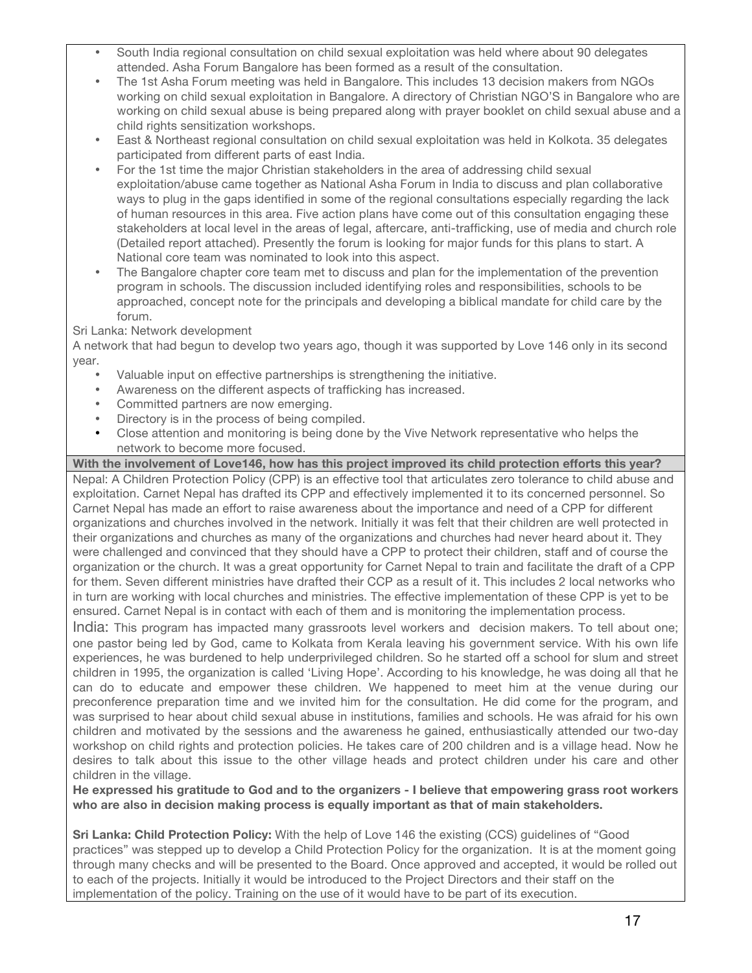- South India regional consultation on child sexual exploitation was held where about 90 delegates attended. Asha Forum Bangalore has been formed as a result of the consultation.
- The 1st Asha Forum meeting was held in Bangalore. This includes 13 decision makers from NGOs working on child sexual exploitation in Bangalore. A directory of Christian NGO'S in Bangalore who are working on child sexual abuse is being prepared along with prayer booklet on child sexual abuse and a child rights sensitization workshops.
- East & Northeast regional consultation on child sexual exploitation was held in Kolkota. 35 delegates participated from different parts of east India.
- For the 1st time the major Christian stakeholders in the area of addressing child sexual exploitation/abuse came together as National Asha Forum in India to discuss and plan collaborative ways to plug in the gaps identified in some of the regional consultations especially regarding the lack of human resources in this area. Five action plans have come out of this consultation engaging these stakeholders at local level in the areas of legal, aftercare, anti-trafficking, use of media and church role (Detailed report attached). Presently the forum is looking for major funds for this plans to start. A National core team was nominated to look into this aspect.
- The Bangalore chapter core team met to discuss and plan for the implementation of the prevention program in schools. The discussion included identifying roles and responsibilities, schools to be approached, concept note for the principals and developing a biblical mandate for child care by the forum.

### Sri Lanka: Network development

A network that had begun to develop two years ago, though it was supported by Love 146 only in its second year.

- Valuable input on effective partnerships is strengthening the initiative.
- Awareness on the different aspects of trafficking has increased.<br>• Committed partners are now emerging
- Committed partners are now emerging.
- Directory is in the process of being compiled.<br>• Close attention and monitoring is being done if
- Close attention and monitoring is being done by the Vive Network representative who helps the network to become more focused.

**With the involvement of Love146, how has this project improved its child protection efforts this year?**

Nepal: A Children Protection Policy (CPP) is an effective tool that articulates zero tolerance to child abuse and exploitation. Carnet Nepal has drafted its CPP and effectively implemented it to its concerned personnel. So Carnet Nepal has made an effort to raise awareness about the importance and need of a CPP for different organizations and churches involved in the network. Initially it was felt that their children are well protected in their organizations and churches as many of the organizations and churches had never heard about it. They were challenged and convinced that they should have a CPP to protect their children, staff and of course the organization or the church. It was a great opportunity for Carnet Nepal to train and facilitate the draft of a CPP for them. Seven different ministries have drafted their CCP as a result of it. This includes 2 local networks who in turn are working with local churches and ministries. The effective implementation of these CPP is yet to be ensured. Carnet Nepal is in contact with each of them and is monitoring the implementation process.

India: This program has impacted many grassroots level workers and decision makers. To tell about one; one pastor being led by God, came to Kolkata from Kerala leaving his government service. With his own life experiences, he was burdened to help underprivileged children. So he started off a school for slum and street children in 1995, the organization is called 'Living Hope'. According to his knowledge, he was doing all that he can do to educate and empower these children. We happened to meet him at the venue during our preconference preparation time and we invited him for the consultation. He did come for the program, and was surprised to hear about child sexual abuse in institutions, families and schools. He was afraid for his own children and motivated by the sessions and the awareness he gained, enthusiastically attended our two-day workshop on child rights and protection policies. He takes care of 200 children and is a village head. Now he desires to talk about this issue to the other village heads and protect children under his care and other children in the village.

**He expressed his gratitude to God and to the organizers - I believe that empowering grass root workers who are also in decision making process is equally important as that of main stakeholders.**

**Sri Lanka: Child Protection Policy:** With the help of Love 146 the existing (CCS) guidelines of "Good practices" was stepped up to develop a Child Protection Policy for the organization. It is at the moment going through many checks and will be presented to the Board. Once approved and accepted, it would be rolled out to each of the projects. Initially it would be introduced to the Project Directors and their staff on the implementation of the policy. Training on the use of it would have to be part of its execution.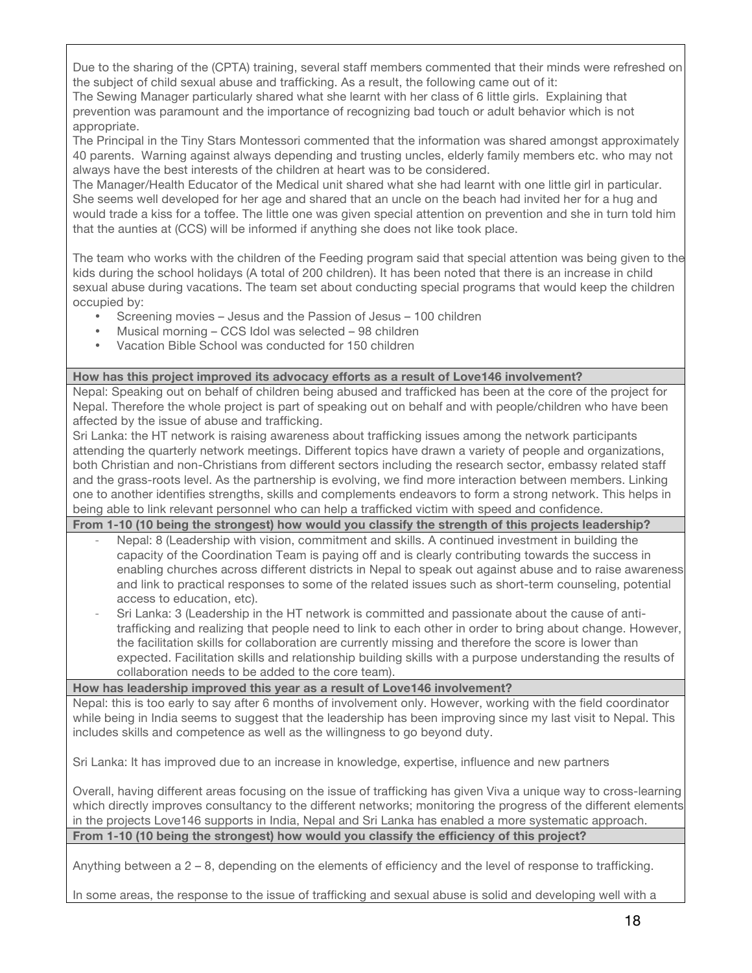Due to the sharing of the (CPTA) training, several staff members commented that their minds were refreshed on the subject of child sexual abuse and trafficking. As a result, the following came out of it:

The Sewing Manager particularly shared what she learnt with her class of 6 little girls. Explaining that prevention was paramount and the importance of recognizing bad touch or adult behavior which is not appropriate.

The Principal in the Tiny Stars Montessori commented that the information was shared amongst approximately 40 parents. Warning against always depending and trusting uncles, elderly family members etc. who may not always have the best interests of the children at heart was to be considered.

The Manager/Health Educator of the Medical unit shared what she had learnt with one little girl in particular. She seems well developed for her age and shared that an uncle on the beach had invited her for a hug and would trade a kiss for a toffee. The little one was given special attention on prevention and she in turn told him that the aunties at (CCS) will be informed if anything she does not like took place.

The team who works with the children of the Feeding program said that special attention was being given to the kids during the school holidays (A total of 200 children). It has been noted that there is an increase in child sexual abuse during vacations. The team set about conducting special programs that would keep the children occupied by:

- Screening movies Jesus and the Passion of Jesus 100 children
- Musical morning CCS Idol was selected 98 children<br>• Vacation Bible School was conducted for 150 children
- Vacation Bible School was conducted for 150 children

#### **How has this project improved its advocacy efforts as a result of Love146 involvement?**

Nepal: Speaking out on behalf of children being abused and trafficked has been at the core of the project for Nepal. Therefore the whole project is part of speaking out on behalf and with people/children who have been affected by the issue of abuse and trafficking.

Sri Lanka: the HT network is raising awareness about trafficking issues among the network participants attending the quarterly network meetings. Different topics have drawn a variety of people and organizations, both Christian and non-Christians from different sectors including the research sector, embassy related staff and the grass-roots level. As the partnership is evolving, we find more interaction between members. Linking one to another identifies strengths, skills and complements endeavors to form a strong network. This helps in being able to link relevant personnel who can help a trafficked victim with speed and confidence.

**From 1-10 (10 being the strongest) how would you classify the strength of this projects leadership?**

- Nepal: 8 (Leadership with vision, commitment and skills. A continued investment in building the capacity of the Coordination Team is paying off and is clearly contributing towards the success in enabling churches across different districts in Nepal to speak out against abuse and to raise awareness and link to practical responses to some of the related issues such as short-term counseling, potential access to education, etc).
- Sri Lanka: 3 (Leadership in the HT network is committed and passionate about the cause of antitrafficking and realizing that people need to link to each other in order to bring about change. However, the facilitation skills for collaboration are currently missing and therefore the score is lower than expected. Facilitation skills and relationship building skills with a purpose understanding the results of collaboration needs to be added to the core team).

**How has leadership improved this year as a result of Love146 involvement?**

Nepal: this is too early to say after 6 months of involvement only. However, working with the field coordinator while being in India seems to suggest that the leadership has been improving since my last visit to Nepal. This includes skills and competence as well as the willingness to go beyond duty.

Sri Lanka: It has improved due to an increase in knowledge, expertise, influence and new partners

Overall, having different areas focusing on the issue of trafficking has given Viva a unique way to cross-learning which directly improves consultancy to the different networks; monitoring the progress of the different elements in the projects Love146 supports in India, Nepal and Sri Lanka has enabled a more systematic approach. **From 1-10 (10 being the strongest) how would you classify the efficiency of this project?**

Anything between a 2 – 8, depending on the elements of efficiency and the level of response to trafficking.

In some areas, the response to the issue of trafficking and sexual abuse is solid and developing well with a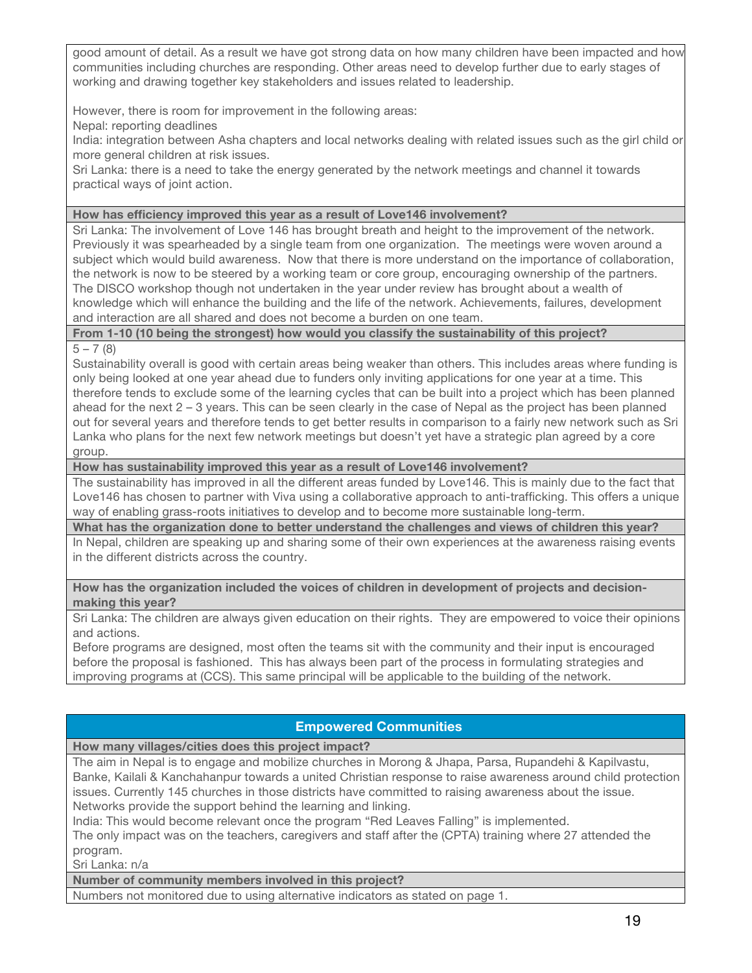good amount of detail. As a result we have got strong data on how many children have been impacted and how communities including churches are responding. Other areas need to develop further due to early stages of working and drawing together key stakeholders and issues related to leadership.

However, there is room for improvement in the following areas:

Nepal: reporting deadlines

India: integration between Asha chapters and local networks dealing with related issues such as the girl child or more general children at risk issues.

Sri Lanka: there is a need to take the energy generated by the network meetings and channel it towards practical ways of joint action.

#### **How has efficiency improved this year as a result of Love146 involvement?**

Sri Lanka: The involvement of Love 146 has brought breath and height to the improvement of the network. Previously it was spearheaded by a single team from one organization. The meetings were woven around a subject which would build awareness. Now that there is more understand on the importance of collaboration, the network is now to be steered by a working team or core group, encouraging ownership of the partners. The DISCO workshop though not undertaken in the year under review has brought about a wealth of knowledge which will enhance the building and the life of the network. Achievements, failures, development and interaction are all shared and does not become a burden on one team.

**From 1-10 (10 being the strongest) how would you classify the sustainability of this project?** 

 $5 - 7(8)$ 

Sustainability overall is good with certain areas being weaker than others. This includes areas where funding is only being looked at one year ahead due to funders only inviting applications for one year at a time. This therefore tends to exclude some of the learning cycles that can be built into a project which has been planned ahead for the next 2 – 3 years. This can be seen clearly in the case of Nepal as the project has been planned out for several years and therefore tends to get better results in comparison to a fairly new network such as Sri Lanka who plans for the next few network meetings but doesn't yet have a strategic plan agreed by a core group.

#### **How has sustainability improved this year as a result of Love146 involvement?**

The sustainability has improved in all the different areas funded by Love146. This is mainly due to the fact that Love146 has chosen to partner with Viva using a collaborative approach to anti-trafficking. This offers a unique way of enabling grass-roots initiatives to develop and to become more sustainable long-term.

**What has the organization done to better understand the challenges and views of children this year?**

In Nepal, children are speaking up and sharing some of their own experiences at the awareness raising events in the different districts across the country.

**How has the organization included the voices of children in development of projects and decisionmaking this year?**

Sri Lanka: The children are always given education on their rights. They are empowered to voice their opinions and actions.

Before programs are designed, most often the teams sit with the community and their input is encouraged before the proposal is fashioned. This has always been part of the process in formulating strategies and improving programs at (CCS). This same principal will be applicable to the building of the network.

# **Empowered Communities**

## **How many villages/cities does this project impact?**

The aim in Nepal is to engage and mobilize churches in Morong & Jhapa, Parsa, Rupandehi & Kapilvastu, Banke, Kailali & Kanchahanpur towards a united Christian response to raise awareness around child protection issues. Currently 145 churches in those districts have committed to raising awareness about the issue. Networks provide the support behind the learning and linking.

India: This would become relevant once the program "Red Leaves Falling" is implemented.

The only impact was on the teachers, caregivers and staff after the (CPTA) training where 27 attended the program.

Sri Lanka: n/a

**Number of community members involved in this project?**

Numbers not monitored due to using alternative indicators as stated on page 1.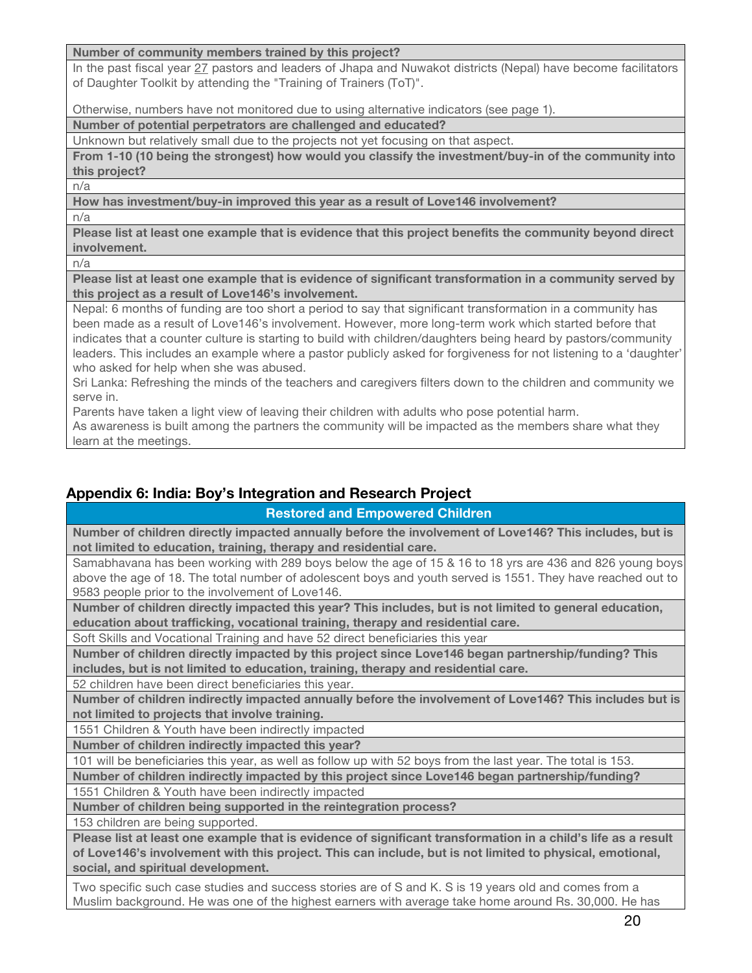#### **Number of community members trained by this project?**

In the past fiscal year 27 pastors and leaders of Jhapa and Nuwakot districts (Nepal) have become facilitators of Daughter Toolkit by attending the "Training of Trainers (ToT)".

Otherwise, numbers have not monitored due to using alternative indicators (see page 1).

**Number of potential perpetrators are challenged and educated?**

Unknown but relatively small due to the projects not yet focusing on that aspect.

**From 1-10 (10 being the strongest) how would you classify the investment/buy-in of the community into this project?**

n/a

**How has investment/buy-in improved this year as a result of Love146 involvement?**

n/a

**Please list at least one example that is evidence that this project benefits the community beyond direct involvement.**

n/a

**Please list at least one example that is evidence of significant transformation in a community served by this project as a result of Love146's involvement.**

Nepal: 6 months of funding are too short a period to say that significant transformation in a community has been made as a result of Love146's involvement. However, more long-term work which started before that indicates that a counter culture is starting to build with children/daughters being heard by pastors/community leaders. This includes an example where a pastor publicly asked for forgiveness for not listening to a 'daughter' who asked for help when she was abused.

Sri Lanka: Refreshing the minds of the teachers and caregivers filters down to the children and community we serve in.

Parents have taken a light view of leaving their children with adults who pose potential harm.

As awareness is built among the partners the community will be impacted as the members share what they learn at the meetings.

# **Appendix 6: India: Boy's Integration and Research Project**

## **Restored and Empowered Children**

**Number of children directly impacted annually before the involvement of Love146? This includes, but is not limited to education, training, therapy and residential care.**

Samabhavana has been working with 289 boys below the age of 15 & 16 to 18 yrs are 436 and 826 young boys above the age of 18. The total number of adolescent boys and youth served is 1551. They have reached out to 9583 people prior to the involvement of Love146.

**Number of children directly impacted this year? This includes, but is not limited to general education, education about trafficking, vocational training, therapy and residential care.**

Soft Skills and Vocational Training and have 52 direct beneficiaries this year

**Number of children directly impacted by this project since Love146 began partnership/funding? This includes, but is not limited to education, training, therapy and residential care.**

52 children have been direct beneficiaries this year.

**Number of children indirectly impacted annually before the involvement of Love146? This includes but is not limited to projects that involve training.** 

1551 Children & Youth have been indirectly impacted

**Number of children indirectly impacted this year?**

101 will be beneficiaries this year, as well as follow up with 52 boys from the last year. The total is 153.

**Number of children indirectly impacted by this project since Love146 began partnership/funding?**

1551 Children & Youth have been indirectly impacted

**Number of children being supported in the reintegration process?**

153 children are being supported.

**Please list at least one example that is evidence of significant transformation in a child's life as a result of Love146's involvement with this project. This can include, but is not limited to physical, emotional, social, and spiritual development.**

Two specific such case studies and success stories are of S and K. S is 19 years old and comes from a Muslim background. He was one of the highest earners with average take home around Rs. 30,000. He has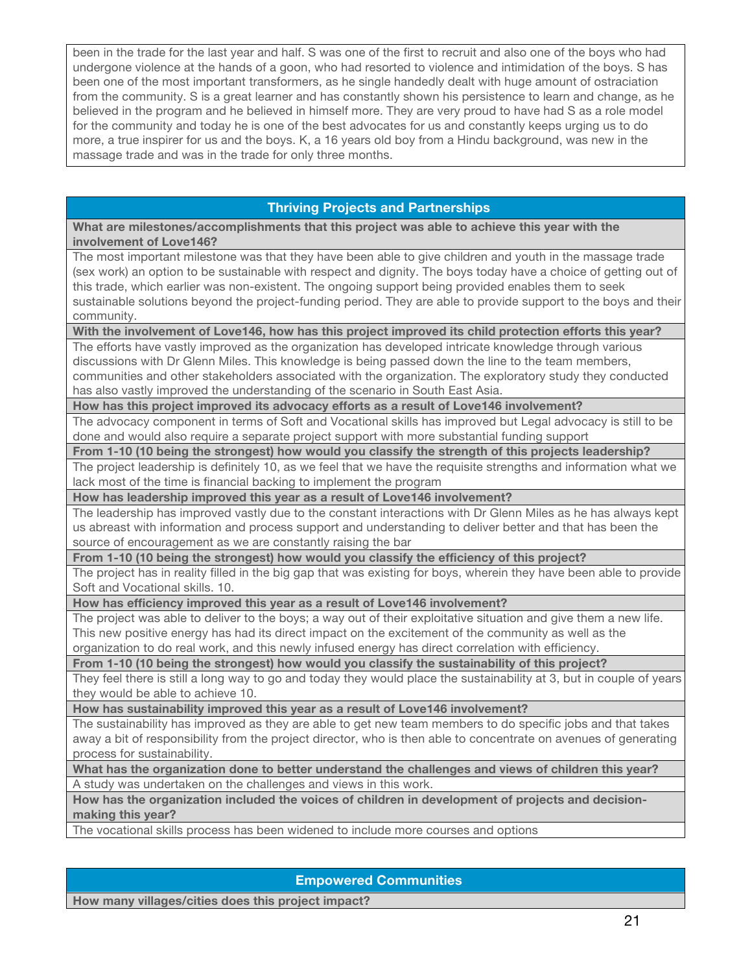been in the trade for the last year and half. S was one of the first to recruit and also one of the boys who had undergone violence at the hands of a goon, who had resorted to violence and intimidation of the boys. S has been one of the most important transformers, as he single handedly dealt with huge amount of ostraciation from the community. S is a great learner and has constantly shown his persistence to learn and change, as he believed in the program and he believed in himself more. They are very proud to have had S as a role model for the community and today he is one of the best advocates for us and constantly keeps urging us to do more, a true inspirer for us and the boys. K, a 16 years old boy from a Hindu background, was new in the massage trade and was in the trade for only three months.

## **Thriving Projects and Partnerships**

**What are milestones/accomplishments that this project was able to achieve this year with the involvement of Love146?**

The most important milestone was that they have been able to give children and youth in the massage trade (sex work) an option to be sustainable with respect and dignity. The boys today have a choice of getting out of this trade, which earlier was non-existent. The ongoing support being provided enables them to seek sustainable solutions beyond the project-funding period. They are able to provide support to the boys and their community.

**With the involvement of Love146, how has this project improved its child protection efforts this year?**

The efforts have vastly improved as the organization has developed intricate knowledge through various discussions with Dr Glenn Miles. This knowledge is being passed down the line to the team members, communities and other stakeholders associated with the organization. The exploratory study they conducted has also vastly improved the understanding of the scenario in South East Asia.

**How has this project improved its advocacy efforts as a result of Love146 involvement?**

The advocacy component in terms of Soft and Vocational skills has improved but Legal advocacy is still to be done and would also require a separate project support with more substantial funding support

**From 1-10 (10 being the strongest) how would you classify the strength of this projects leadership?**

The project leadership is definitely 10, as we feel that we have the requisite strengths and information what we lack most of the time is financial backing to implement the program

**How has leadership improved this year as a result of Love146 involvement?**

The leadership has improved vastly due to the constant interactions with Dr Glenn Miles as he has always kept us abreast with information and process support and understanding to deliver better and that has been the source of encouragement as we are constantly raising the bar

**From 1-10 (10 being the strongest) how would you classify the efficiency of this project?**

The project has in reality filled in the big gap that was existing for boys, wherein they have been able to provide Soft and Vocational skills. 10.

**How has efficiency improved this year as a result of Love146 involvement?**

The project was able to deliver to the boys; a way out of their exploitative situation and give them a new life. This new positive energy has had its direct impact on the excitement of the community as well as the organization to do real work, and this newly infused energy has direct correlation with efficiency.

**From 1-10 (10 being the strongest) how would you classify the sustainability of this project?** 

They feel there is still a long way to go and today they would place the sustainability at 3, but in couple of years they would be able to achieve 10.

**How has sustainability improved this year as a result of Love146 involvement?**

The sustainability has improved as they are able to get new team members to do specific jobs and that takes away a bit of responsibility from the project director, who is then able to concentrate on avenues of generating process for sustainability.

**What has the organization done to better understand the challenges and views of children this year?**

A study was undertaken on the challenges and views in this work.

**How has the organization included the voices of children in development of projects and decisionmaking this year?**

The vocational skills process has been widened to include more courses and options

## **Empowered Communities**

**How many villages/cities does this project impact?**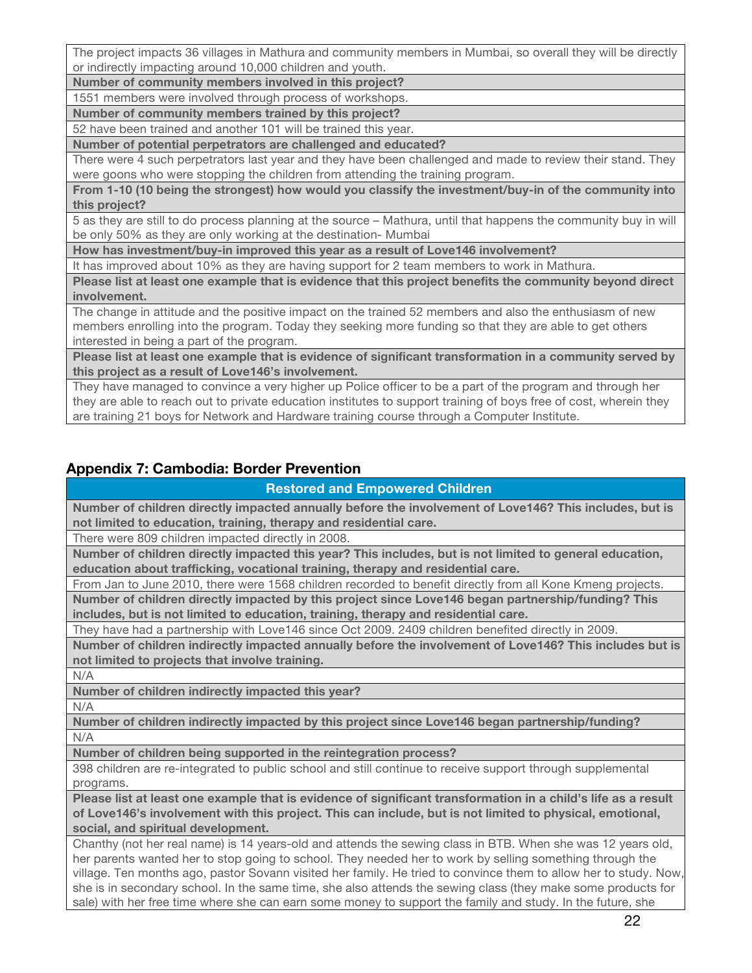The project impacts 36 villages in Mathura and community members in Mumbai, so overall they will be directly or indirectly impacting around 10,000 children and youth.

**Number of community members involved in this project?**

1551 members were involved through process of workshops.

**Number of community members trained by this project?**

52 have been trained and another 101 will be trained this year.

**Number of potential perpetrators are challenged and educated?**

There were 4 such perpetrators last year and they have been challenged and made to review their stand. They were goons who were stopping the children from attending the training program.

**From 1-10 (10 being the strongest) how would you classify the investment/buy-in of the community into this project?**

5 as they are still to do process planning at the source – Mathura, until that happens the community buy in will be only 50% as they are only working at the destination- Mumbai

**How has investment/buy-in improved this year as a result of Love146 involvement?**

It has improved about 10% as they are having support for 2 team members to work in Mathura.

**Please list at least one example that is evidence that this project benefits the community beyond direct involvement.**

The change in attitude and the positive impact on the trained 52 members and also the enthusiasm of new members enrolling into the program. Today they seeking more funding so that they are able to get others interested in being a part of the program.

**Please list at least one example that is evidence of significant transformation in a community served by this project as a result of Love146's involvement.**

They have managed to convince a very higher up Police officer to be a part of the program and through her they are able to reach out to private education institutes to support training of boys free of cost, wherein they are training 21 boys for Network and Hardware training course through a Computer Institute.

# **Appendix 7: Cambodia: Border Prevention**

## **Restored and Empowered Children**

**Number of children directly impacted annually before the involvement of Love146? This includes, but is not limited to education, training, therapy and residential care.**

There were 809 children impacted directly in 2008.

**Number of children directly impacted this year? This includes, but is not limited to general education, education about trafficking, vocational training, therapy and residential care.**

From Jan to June 2010, there were 1568 children recorded to benefit directly from all Kone Kmeng projects. **Number of children directly impacted by this project since Love146 began partnership/funding? This includes, but is not limited to education, training, therapy and residential care.**

They have had a partnership with Love146 since Oct 2009. 2409 children benefited directly in 2009.

**Number of children indirectly impacted annually before the involvement of Love146? This includes but is not limited to projects that involve training.** 

N/A

**Number of children indirectly impacted this year?**

N/A

**Number of children indirectly impacted by this project since Love146 began partnership/funding?** N/A

**Number of children being supported in the reintegration process?**

398 children are re-integrated to public school and still continue to receive support through supplemental programs.

**Please list at least one example that is evidence of significant transformation in a child's life as a result of Love146's involvement with this project. This can include, but is not limited to physical, emotional, social, and spiritual development.**

Chanthy (not her real name) is 14 years-old and attends the sewing class in BTB. When she was 12 years old, her parents wanted her to stop going to school. They needed her to work by selling something through the village. Ten months ago, pastor Sovann visited her family. He tried to convince them to allow her to study. Now, she is in secondary school. In the same time, she also attends the sewing class (they make some products for sale) with her free time where she can earn some money to support the family and study. In the future, she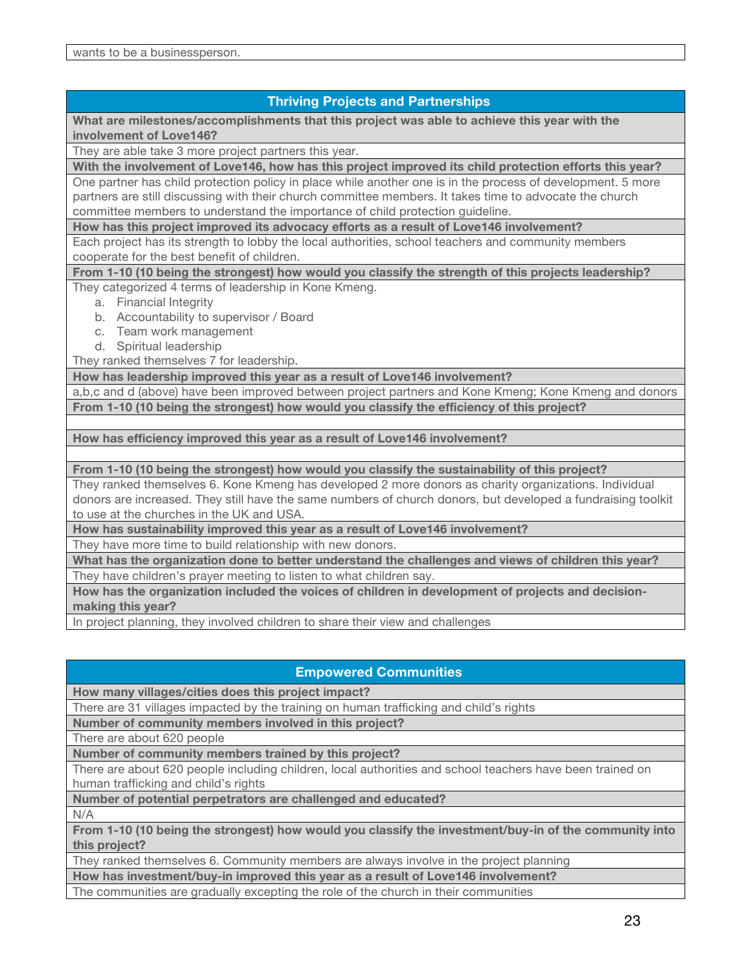# **Thriving Projects and Partnerships What are milestones/accomplishments that this project was able to achieve this year with the involvement of Love146?** They are able take 3 more project partners this year. **With the involvement of Love146, how has this project improved its child protection efforts this year?** One partner has child protection policy in place while another one is in the process of development. 5 more partners are still discussing with their church committee members. It takes time to advocate the church committee members to understand the importance of child protection guideline. **How has this project improved its advocacy efforts as a result of Love146 involvement?** Each project has its strength to lobby the local authorities, school teachers and community members cooperate for the best benefit of children. **From 1-10 (10 being the strongest) how would you classify the strength of this projects leadership?** They categorized 4 terms of leadership in Kone Kmeng. a. Financial Integrity b. Accountability to supervisor / Board c. Team work management d. Spiritual leadership They ranked themselves 7 for leadership. **How has leadership improved this year as a result of Love146 involvement?** a,b,c and d (above) have been improved between project partners and Kone Kmeng; Kone Kmeng and donors **From 1-10 (10 being the strongest) how would you classify the efficiency of this project? How has efficiency improved this year as a result of Love146 involvement? From 1-10 (10 being the strongest) how would you classify the sustainability of this project?**  They ranked themselves 6. Kone Kmeng has developed 2 more donors as charity organizations. Individual donors are increased. They still have the same numbers of church donors, but developed a fundraising toolkit

to use at the churches in the UK and USA.

**How has sustainability improved this year as a result of Love146 involvement?**

They have more time to build relationship with new donors.

**What has the organization done to better understand the challenges and views of children this year?** They have children's prayer meeting to listen to what children say.

**How has the organization included the voices of children in development of projects and decisionmaking this year?**

In project planning, they involved children to share their view and challenges

## **Empowered Communities**

**How many villages/cities does this project impact?**

There are 31 villages impacted by the training on human trafficking and child's rights

**Number of community members involved in this project?**

There are about 620 people

**Number of community members trained by this project?**

There are about 620 people including children, local authorities and school teachers have been trained on human trafficking and child's rights

**Number of potential perpetrators are challenged and educated?**

N/A

**From 1-10 (10 being the strongest) how would you classify the investment/buy-in of the community into this project?**

They ranked themselves 6. Community members are always involve in the project planning

**How has investment/buy-in improved this year as a result of Love146 involvement?**

The communities are gradually excepting the role of the church in their communities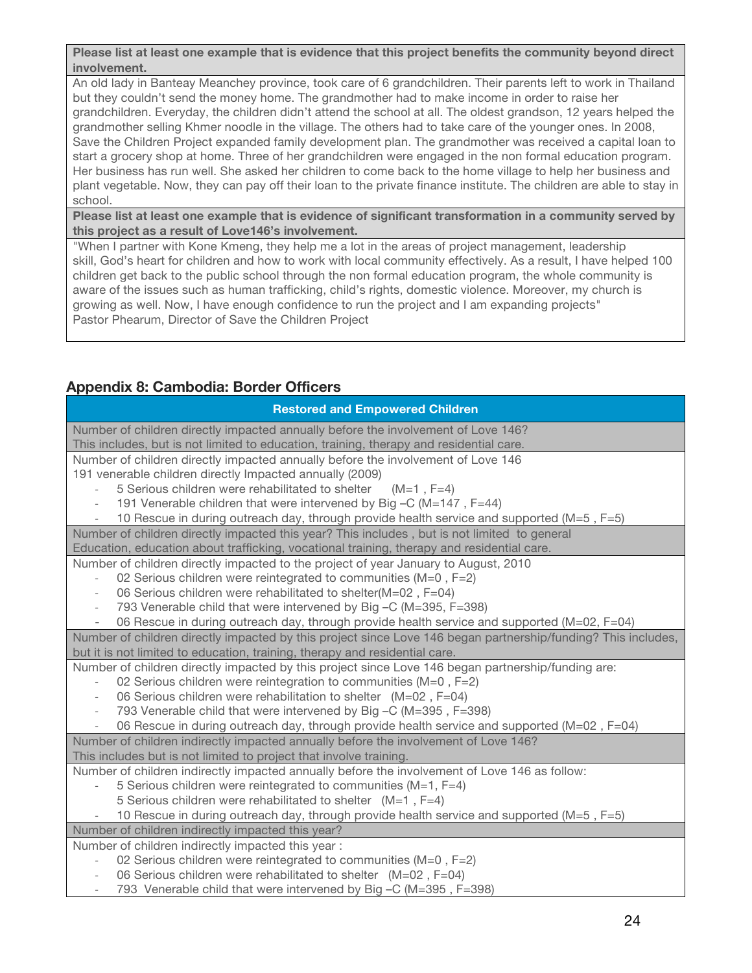**Please list at least one example that is evidence that this project benefits the community beyond direct involvement.**

An old lady in Banteay Meanchey province, took care of 6 grandchildren. Their parents left to work in Thailand but they couldn't send the money home. The grandmother had to make income in order to raise her grandchildren. Everyday, the children didn't attend the school at all. The oldest grandson, 12 years helped the grandmother selling Khmer noodle in the village. The others had to take care of the younger ones. In 2008, Save the Children Project expanded family development plan. The grandmother was received a capital loan to start a grocery shop at home. Three of her grandchildren were engaged in the non formal education program. Her business has run well. She asked her children to come back to the home village to help her business and plant vegetable. Now, they can pay off their loan to the private finance institute. The children are able to stay in school.

**Please list at least one example that is evidence of significant transformation in a community served by this project as a result of Love146's involvement.**

"When I partner with Kone Kmeng, they help me a lot in the areas of project management, leadership skill, God's heart for children and how to work with local community effectively. As a result, I have helped 100 children get back to the public school through the non formal education program, the whole community is aware of the issues such as human trafficking, child's rights, domestic violence. Moreover, my church is growing as well. Now, I have enough confidence to run the project and I am expanding projects" Pastor Phearum, Director of Save the Children Project

# **Appendix 8: Cambodia: Border Officers**

| <b>Restored and Empowered Children</b>                                                                                                                                             |  |  |
|------------------------------------------------------------------------------------------------------------------------------------------------------------------------------------|--|--|
| Number of children directly impacted annually before the involvement of Love 146?                                                                                                  |  |  |
| This includes, but is not limited to education, training, therapy and residential care.                                                                                            |  |  |
| Number of children directly impacted annually before the involvement of Love 146                                                                                                   |  |  |
| 191 venerable children directly Impacted annually (2009)                                                                                                                           |  |  |
| 5 Serious children were rehabilitated to shelter $(M=1, F=4)$                                                                                                                      |  |  |
| 191 Venerable children that were intervened by Big -C (M=147, F=44)                                                                                                                |  |  |
| 10 Rescue in during outreach day, through provide health service and supported (M=5, F=5)                                                                                          |  |  |
| Number of children directly impacted this year? This includes, but is not limited to general                                                                                       |  |  |
| Education, education about trafficking, vocational training, therapy and residential care.                                                                                         |  |  |
| Number of children directly impacted to the project of year January to August, 2010                                                                                                |  |  |
| 02 Serious children were reintegrated to communities (M=0, F=2)                                                                                                                    |  |  |
| 06 Serious children were rehabilitated to shelter(M=02, F=04)                                                                                                                      |  |  |
| 793 Venerable child that were intervened by Big -C (M=395, F=398)<br>$\overline{\phantom{a}}$                                                                                      |  |  |
| 06 Rescue in during outreach day, through provide health service and supported (M=02, F=04)                                                                                        |  |  |
| Number of children directly impacted by this project since Love 146 began partnership/funding? This includes,                                                                      |  |  |
| but it is not limited to education, training, therapy and residential care.                                                                                                        |  |  |
| Number of children directly impacted by this project since Love 146 began partnership/funding are:                                                                                 |  |  |
| 02 Serious children were reintegration to communities ( $M=0$ , $F=2$ )                                                                                                            |  |  |
| 06 Serious children were rehabilitation to shelter (M=02, F=04)                                                                                                                    |  |  |
| 793 Venerable child that were intervened by Big -C (M=395, F=398)                                                                                                                  |  |  |
| 06 Rescue in during outreach day, through provide health service and supported (M=02, F=04)<br>Number of children indirectly impacted annually before the involvement of Love 146? |  |  |
| This includes but is not limited to project that involve training.                                                                                                                 |  |  |
| Number of children indirectly impacted annually before the involvement of Love 146 as follow:                                                                                      |  |  |
| 5 Serious children were reintegrated to communities ( $M=1$ , $F=4$ )                                                                                                              |  |  |
| 5 Serious children were rehabilitated to shelter $(M=1, F=4)$                                                                                                                      |  |  |
| 10 Rescue in during outreach day, through provide health service and supported (M=5, F=5)                                                                                          |  |  |
| Number of children indirectly impacted this year?                                                                                                                                  |  |  |
| Number of children indirectly impacted this year:                                                                                                                                  |  |  |
| 02 Serious children were reintegrated to communities (M=0, F=2)                                                                                                                    |  |  |
| 06 Serious children were rehabilitated to shelter (M=02, F=04)                                                                                                                     |  |  |
| 793 Venerable child that were intervened by Big -C (M=395, F=398)                                                                                                                  |  |  |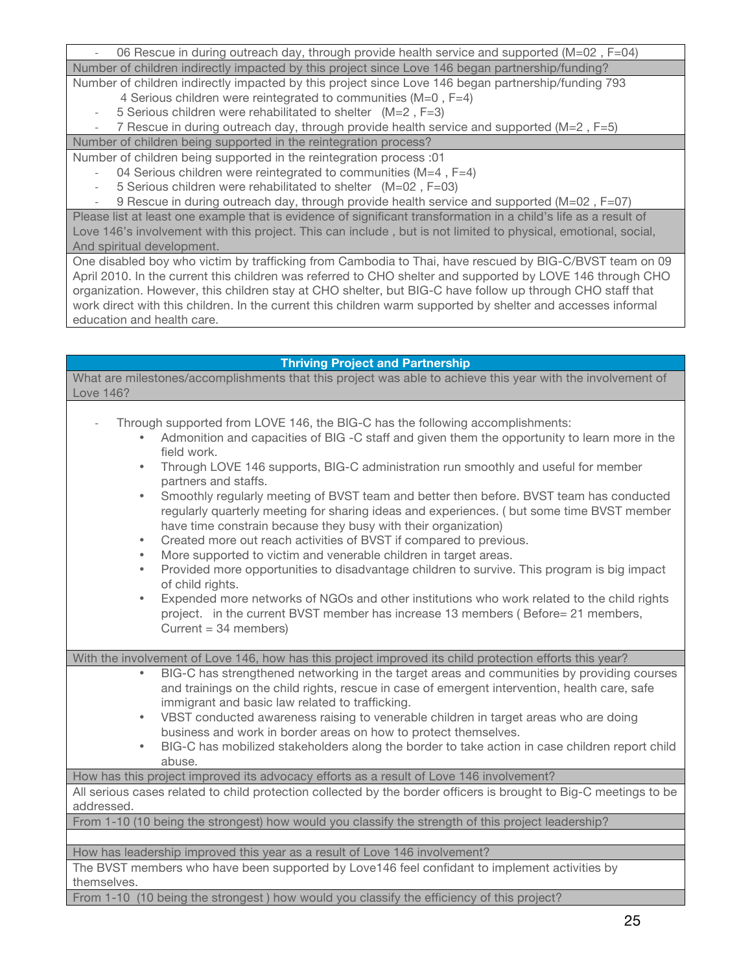06 Rescue in during outreach day, through provide health service and supported (M=02, F=04) Number of children indirectly impacted by this project since Love 146 began partnership/funding?

Number of children indirectly impacted by this project since Love 146 began partnership/funding 793 4 Serious children were reintegrated to communities (M=0 , F=4)

 $-5$  Serious children were rehabilitated to shelter  $(M=2, F=3)$ 

! 7 Rescue in during outreach day, through provide health service and supported (M=2 , F=5) Number of children being supported in the reintegration process?

Number of children being supported in the reintegration process :01

- 04 Serious children were reintegrated to communities  $(M=4, F=4)$
- ! 5 Serious children were rehabilitated to shelter (M=02 , F=03)

! 9 Rescue in during outreach day, through provide health service and supported (M=02 , F=07)

Please list at least one example that is evidence of significant transformation in a child's life as a result of Love 146's involvement with this project. This can include , but is not limited to physical, emotional, social, And spiritual development.

One disabled boy who victim by trafficking from Cambodia to Thai, have rescued by BIG-C/BVST team on 09 April 2010. In the current this children was referred to CHO shelter and supported by LOVE 146 through CHO organization. However, this children stay at CHO shelter, but BIG-C have follow up through CHO staff that work direct with this children. In the current this children warm supported by shelter and accesses informal education and health care.

| <b>Thriving Project and Partnership</b>                                                                                                                                                                                                                                                                                                                                                                                                                                                                                                                                                                                                                                                                                                                                                                                                                                                                                                                                                                                                                                                                          |  |  |  |
|------------------------------------------------------------------------------------------------------------------------------------------------------------------------------------------------------------------------------------------------------------------------------------------------------------------------------------------------------------------------------------------------------------------------------------------------------------------------------------------------------------------------------------------------------------------------------------------------------------------------------------------------------------------------------------------------------------------------------------------------------------------------------------------------------------------------------------------------------------------------------------------------------------------------------------------------------------------------------------------------------------------------------------------------------------------------------------------------------------------|--|--|--|
| What are milestones/accomplishments that this project was able to achieve this year with the involvement of<br>Love 146?                                                                                                                                                                                                                                                                                                                                                                                                                                                                                                                                                                                                                                                                                                                                                                                                                                                                                                                                                                                         |  |  |  |
| Through supported from LOVE 146, the BIG-C has the following accomplishments:<br>Admonition and capacities of BIG -C staff and given them the opportunity to learn more in the<br>field work.<br>Through LOVE 146 supports, BIG-C administration run smoothly and useful for member<br>$\bullet$<br>partners and staffs.<br>Smoothly regularly meeting of BVST team and better then before. BVST team has conducted<br>$\bullet$<br>regularly quarterly meeting for sharing ideas and experiences. (but some time BVST member<br>have time constrain because they busy with their organization)<br>Created more out reach activities of BVST if compared to previous.<br>$\bullet$<br>More supported to victim and venerable children in target areas.<br>Provided more opportunities to disadvantage children to survive. This program is big impact<br>$\bullet$<br>of child rights.<br>Expended more networks of NGOs and other institutions who work related to the child rights<br>$\bullet$<br>project. in the current BVST member has increase 13 members (Before= 21 members,<br>Current = $34$ members) |  |  |  |
| With the involvement of Love 146, how has this project improved its child protection efforts this year?                                                                                                                                                                                                                                                                                                                                                                                                                                                                                                                                                                                                                                                                                                                                                                                                                                                                                                                                                                                                          |  |  |  |
| BIG-C has strengthened networking in the target areas and communities by providing courses<br>and trainings on the child rights, rescue in case of emergent intervention, health care, safe<br>immigrant and basic law related to trafficking.<br>VBST conducted awareness raising to venerable children in target areas who are doing<br>$\bullet$<br>business and work in border areas on how to protect themselves.<br>BIG-C has mobilized stakeholders along the border to take action in case children report child<br>abuse.                                                                                                                                                                                                                                                                                                                                                                                                                                                                                                                                                                               |  |  |  |
| How has this project improved its advocacy efforts as a result of Love 146 involvement?                                                                                                                                                                                                                                                                                                                                                                                                                                                                                                                                                                                                                                                                                                                                                                                                                                                                                                                                                                                                                          |  |  |  |
| All serious cases related to child protection collected by the border officers is brought to Big-C meetings to be<br>addressed.                                                                                                                                                                                                                                                                                                                                                                                                                                                                                                                                                                                                                                                                                                                                                                                                                                                                                                                                                                                  |  |  |  |
| From 1-10 (10 being the strongest) how would you classify the strength of this project leadership?                                                                                                                                                                                                                                                                                                                                                                                                                                                                                                                                                                                                                                                                                                                                                                                                                                                                                                                                                                                                               |  |  |  |
|                                                                                                                                                                                                                                                                                                                                                                                                                                                                                                                                                                                                                                                                                                                                                                                                                                                                                                                                                                                                                                                                                                                  |  |  |  |
| How has leadership improved this year as a result of Love 146 involvement?<br>The BVST members who have been supported by Love146 feel confidant to implement activities by<br>themselves.                                                                                                                                                                                                                                                                                                                                                                                                                                                                                                                                                                                                                                                                                                                                                                                                                                                                                                                       |  |  |  |
| From 1-10 (10 being the strongest) how would you classify the efficiency of this project?                                                                                                                                                                                                                                                                                                                                                                                                                                                                                                                                                                                                                                                                                                                                                                                                                                                                                                                                                                                                                        |  |  |  |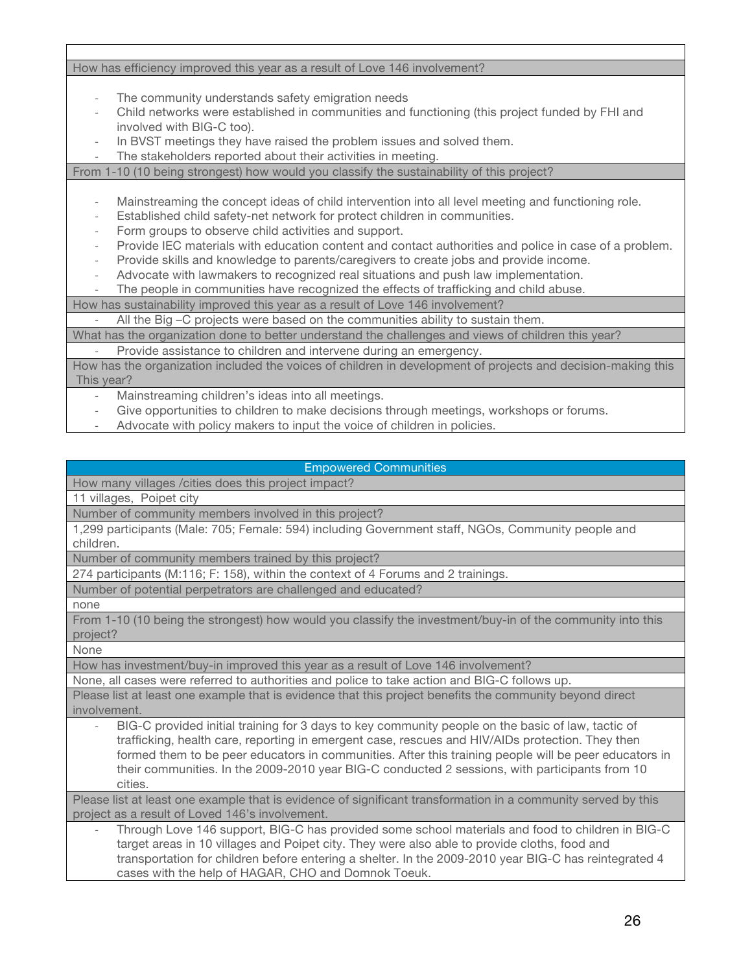How has efficiency improved this year as a result of Love 146 involvement?

- The community understands safety emigration needs
- ! Child networks were established in communities and functioning (this project funded by FHI and involved with BIG-C too).
- In BVST meetings they have raised the problem issues and solved them.
- The stakeholders reported about their activities in meeting.

From 1-10 (10 being strongest) how would you classify the sustainability of this project?

! Mainstreaming the concept ideas of child intervention into all level meeting and functioning role.

- Established child safety-net network for protect children in communities.
- Form groups to observe child activities and support.
- ! Provide IEC materials with education content and contact authorities and police in case of a problem.
- ! Provide skills and knowledge to parents/caregivers to create jobs and provide income.
- ! Advocate with lawmakers to recognized real situations and push law implementation.
- The people in communities have recognized the effects of trafficking and child abuse.
- How has sustainability improved this year as a result of Love 146 involvement?

All the Big –C projects were based on the communities ability to sustain them.

What has the organization done to better understand the challenges and views of children this year?

Provide assistance to children and intervene during an emergency.

How has the organization included the voices of children in development of projects and decision-making this This year?

- Mainstreaming children's ideas into all meetings.
- Give opportunities to children to make decisions through meetings, workshops or forums.
- Advocate with policy makers to input the voice of children in policies.

### Empowered Communities

How many villages /cities does this project impact?

11 villages, Poipet city

Number of community members involved in this project?

1,299 participants (Male: 705; Female: 594) including Government staff, NGOs, Community people and children.

Number of community members trained by this project?

274 participants (M:116; F: 158), within the context of 4 Forums and 2 trainings.

Number of potential perpetrators are challenged and educated?

none

From 1-10 (10 being the strongest) how would you classify the investment/buy-in of the community into this project?

None

How has investment/buy-in improved this year as a result of Love 146 involvement?

None, all cases were referred to authorities and police to take action and BIG-C follows up. Please list at least one example that is evidence that this project benefits the community beyond direct

involvement.

BIG-C provided initial training for 3 days to key community people on the basic of law, tactic of trafficking, health care, reporting in emergent case, rescues and HIV/AIDs protection. They then formed them to be peer educators in communities. After this training people will be peer educators in their communities. In the 2009-2010 year BIG-C conducted 2 sessions, with participants from 10 cities.

Please list at least one example that is evidence of significant transformation in a community served by this project as a result of Loved 146's involvement.

! Through Love 146 support, BIG-C has provided some school materials and food to children in BIG-C target areas in 10 villages and Poipet city. They were also able to provide cloths, food and transportation for children before entering a shelter. In the 2009-2010 year BIG-C has reintegrated 4 cases with the help of HAGAR, CHO and Domnok Toeuk.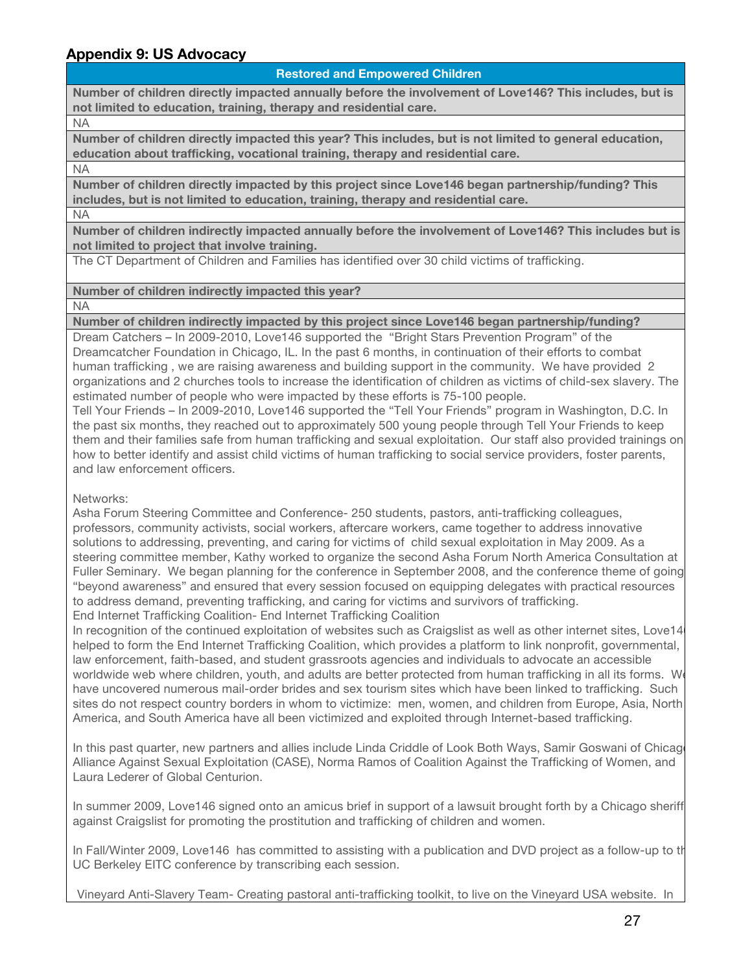# **Appendix 9: US Advocacy**

#### **Restored and Empowered Children**

**Number of children directly impacted annually before the involvement of Love146? This includes, but is not limited to education, training, therapy and residential care.**

NA

**Number of children directly impacted this year? This includes, but is not limited to general education, education about trafficking, vocational training, therapy and residential care.**

NA

**Number of children directly impacted by this project since Love146 began partnership/funding? This includes, but is not limited to education, training, therapy and residential care.**

NA

**Number of children indirectly impacted annually before the involvement of Love146? This includes but is not limited to project that involve training.** 

The CT Department of Children and Families has identified over 30 child victims of trafficking.

**Number of children indirectly impacted this year?**

NA

**Number of children indirectly impacted by this project since Love146 began partnership/funding?**

Dream Catchers – In 2009-2010, Love146 supported the "Bright Stars Prevention Program" of the Dreamcatcher Foundation in Chicago, IL. In the past 6 months, in continuation of their efforts to combat human trafficking , we are raising awareness and building support in the community. We have provided 2 organizations and 2 churches tools to increase the identification of children as victims of child-sex slavery. The estimated number of people who were impacted by these efforts is 75-100 people.

Tell Your Friends – In 2009-2010, Love146 supported the "Tell Your Friends" program in Washington, D.C. In the past six months, they reached out to approximately 500 young people through Tell Your Friends to keep them and their families safe from human trafficking and sexual exploitation. Our staff also provided trainings on how to better identify and assist child victims of human trafficking to social service providers, foster parents, and law enforcement officers.

Networks:

Asha Forum Steering Committee and Conference- 250 students, pastors, anti-trafficking colleagues, professors, community activists, social workers, aftercare workers, came together to address innovative solutions to addressing, preventing, and caring for victims of child sexual exploitation in May 2009. As a steering committee member, Kathy worked to organize the second Asha Forum North America Consultation at Fuller Seminary. We began planning for the conference in September 2008, and the conference theme of going "beyond awareness" and ensured that every session focused on equipping delegates with practical resources to address demand, preventing trafficking, and caring for victims and survivors of trafficking. End Internet Trafficking Coalition- End Internet Trafficking Coalition

In recognition of the continued exploitation of websites such as Craigslist as well as other internet sites, Love14 helped to form the End Internet Trafficking Coalition, which provides a platform to link nonprofit, governmental, law enforcement, faith-based, and student grassroots agencies and individuals to advocate an accessible worldwide web where children, youth, and adults are better protected from human trafficking in all its forms. W have uncovered numerous mail-order brides and sex tourism sites which have been linked to trafficking. Such sites do not respect country borders in whom to victimize: men, women, and children from Europe, Asia, North America, and South America have all been victimized and exploited through Internet-based trafficking.

In this past quarter, new partners and allies include Linda Criddle of Look Both Ways, Samir Goswani of Chicago Alliance Against Sexual Exploitation (CASE), Norma Ramos of Coalition Against the Trafficking of Women, and Laura Lederer of Global Centurion.

In summer 2009, Love146 signed onto an amicus brief in support of a lawsuit brought forth by a Chicago sheriff against Craigslist for promoting the prostitution and trafficking of children and women.

In Fall/Winter 2009, Love146 has committed to assisting with a publication and DVD project as a follow-up to th UC Berkeley EITC conference by transcribing each session.

Vineyard Anti-Slavery Team- Creating pastoral anti-trafficking toolkit, to live on the Vineyard USA website. In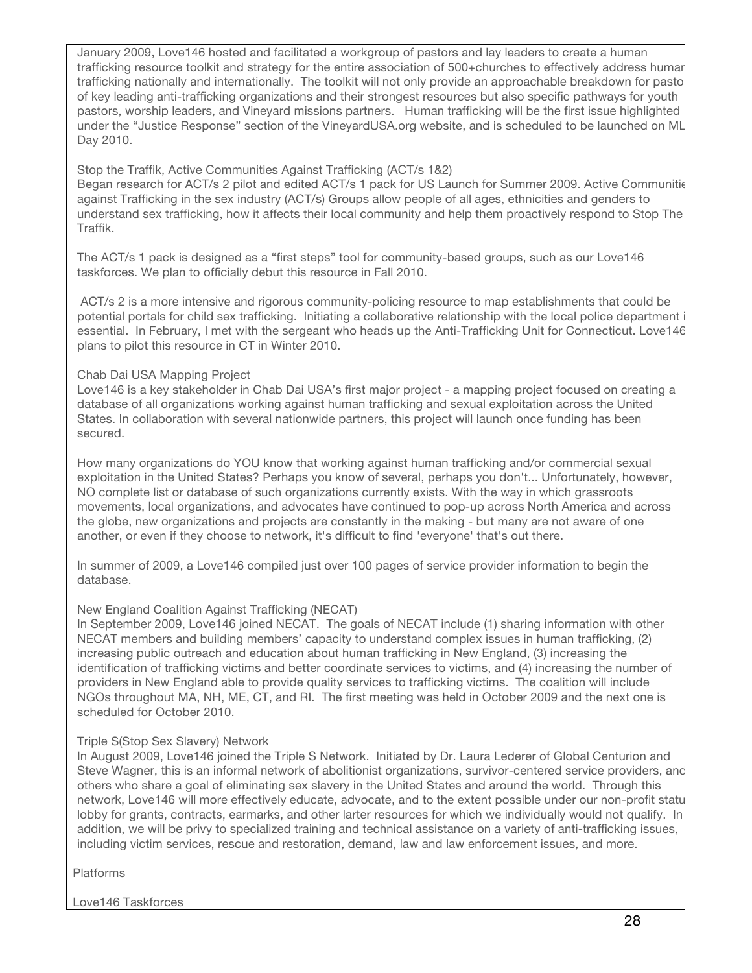January 2009, Love146 hosted and facilitated a workgroup of pastors and lay leaders to create a human trafficking resource toolkit and strategy for the entire association of 500+churches to effectively address human trafficking nationally and internationally. The toolkit will not only provide an approachable breakdown for pasto of key leading anti-trafficking organizations and their strongest resources but also specific pathways for youth pastors, worship leaders, and Vineyard missions partners. Human trafficking will be the first issue highlighted under the "Justice Response" section of the VineyardUSA.org website, and is scheduled to be launched on ML Day 2010.

### Stop the Traffik, Active Communities Against Trafficking (ACT/s 1&2)

Began research for ACT/s 2 pilot and edited ACT/s 1 pack for US Launch for Summer 2009. Active Communitie against Trafficking in the sex industry (ACT/s) Groups allow people of all ages, ethnicities and genders to understand sex trafficking, how it affects their local community and help them proactively respond to Stop The Traffik.

The ACT/s 1 pack is designed as a "first steps" tool for community-based groups, such as our Love146 taskforces. We plan to officially debut this resource in Fall 2010.

 ACT/s 2 is a more intensive and rigorous community-policing resource to map establishments that could be potential portals for child sex trafficking. Initiating a collaborative relationship with the local police department essential. In February, I met with the sergeant who heads up the Anti-Trafficking Unit for Connecticut. Love146 plans to pilot this resource in CT in Winter 2010.

### Chab Dai USA Mapping Project

Love146 is a key stakeholder in Chab Dai USA's first major project - a mapping project focused on creating a database of all organizations working against human trafficking and sexual exploitation across the United States. In collaboration with several nationwide partners, this project will launch once funding has been secured.

How many organizations do YOU know that working against human trafficking and/or commercial sexual exploitation in the United States? Perhaps you know of several, perhaps you don't... Unfortunately, however, NO complete list or database of such organizations currently exists. With the way in which grassroots movements, local organizations, and advocates have continued to pop-up across North America and across the globe, new organizations and projects are constantly in the making - but many are not aware of one another, or even if they choose to network, it's difficult to find 'everyone' that's out there.

In summer of 2009, a Love146 compiled just over 100 pages of service provider information to begin the database.

## New England Coalition Against Trafficking (NECAT)

In September 2009, Love146 joined NECAT. The goals of NECAT include (1) sharing information with other NECAT members and building members' capacity to understand complex issues in human trafficking, (2) increasing public outreach and education about human trafficking in New England, (3) increasing the identification of trafficking victims and better coordinate services to victims, and (4) increasing the number of providers in New England able to provide quality services to trafficking victims. The coalition will include NGOs throughout MA, NH, ME, CT, and RI. The first meeting was held in October 2009 and the next one is scheduled for October 2010.

## Triple S(Stop Sex Slavery) Network

In August 2009, Love146 joined the Triple S Network. Initiated by Dr. Laura Lederer of Global Centurion and Steve Wagner, this is an informal network of abolitionist organizations, survivor-centered service providers, and others who share a goal of eliminating sex slavery in the United States and around the world. Through this network, Love146 will more effectively educate, advocate, and to the extent possible under our non-profit status, lobby for grants, contracts, earmarks, and other larter resources for which we individually would not qualify. In addition, we will be privy to specialized training and technical assistance on a variety of anti-trafficking issues, including victim services, rescue and restoration, demand, law and law enforcement issues, and more.

Platforms

Love146 Taskforces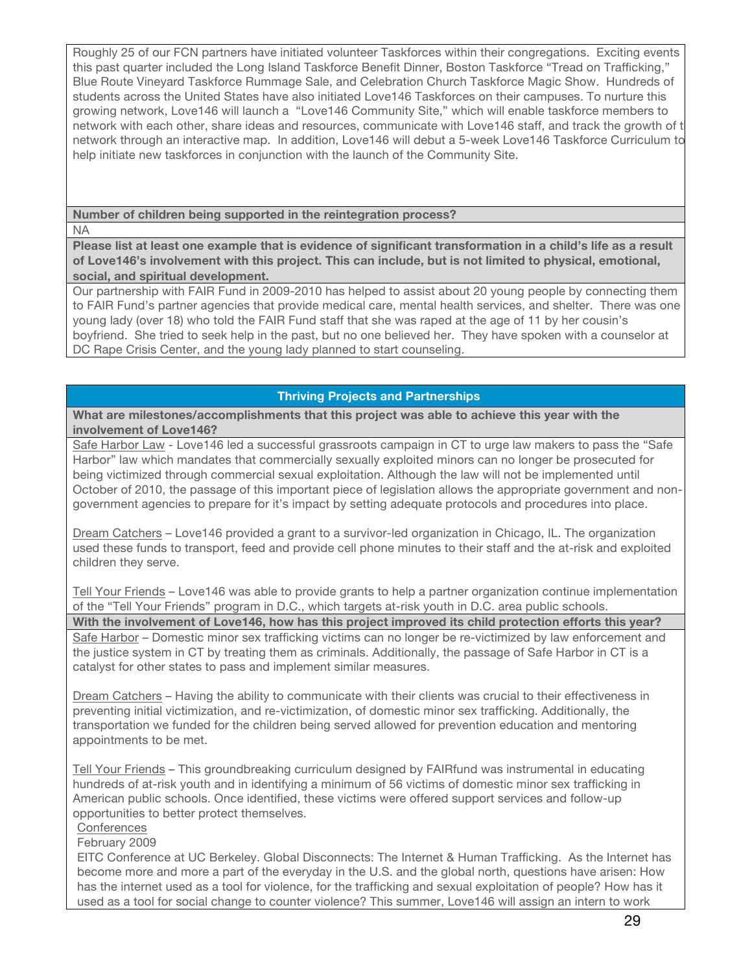Roughly 25 of our FCN partners have initiated volunteer Taskforces within their congregations. Exciting events this past quarter included the Long Island Taskforce Benefit Dinner, Boston Taskforce "Tread on Trafficking," Blue Route Vineyard Taskforce Rummage Sale, and Celebration Church Taskforce Magic Show. Hundreds of students across the United States have also initiated Love146 Taskforces on their campuses. To nurture this growing network, Love146 will launch a "Love146 Community Site," which will enable taskforce members to network with each other, share ideas and resources, communicate with Love146 staff, and track the growth of t network through an interactive map. In addition, Love146 will debut a 5-week Love146 Taskforce Curriculum to help initiate new taskforces in conjunction with the launch of the Community Site.

**Number of children being supported in the reintegration process?**

NA

**Please list at least one example that is evidence of significant transformation in a child's life as a result of Love146's involvement with this project. This can include, but is not limited to physical, emotional, social, and spiritual development.**

Our partnership with FAIR Fund in 2009-2010 has helped to assist about 20 young people by connecting them to FAIR Fund's partner agencies that provide medical care, mental health services, and shelter. There was one young lady (over 18) who told the FAIR Fund staff that she was raped at the age of 11 by her cousin's boyfriend. She tried to seek help in the past, but no one believed her. They have spoken with a counselor at DC Rape Crisis Center, and the young lady planned to start counseling.

## **Thriving Projects and Partnerships**

**What are milestones/accomplishments that this project was able to achieve this year with the involvement of Love146?**

Safe Harbor Law - Love146 led a successful grassroots campaign in CT to urge law makers to pass the "Safe Harbor" law which mandates that commercially sexually exploited minors can no longer be prosecuted for being victimized through commercial sexual exploitation. Although the law will not be implemented until October of 2010, the passage of this important piece of legislation allows the appropriate government and nongovernment agencies to prepare for it's impact by setting adequate protocols and procedures into place.

Dream Catchers – Love146 provided a grant to a survivor-led organization in Chicago, IL. The organization used these funds to transport, feed and provide cell phone minutes to their staff and the at-risk and exploited children they serve.

Tell Your Friends – Love146 was able to provide grants to help a partner organization continue implementation of the "Tell Your Friends" program in D.C., which targets at-risk youth in D.C. area public schools. **With the involvement of Love146, how has this project improved its child protection efforts this year?** Safe Harbor – Domestic minor sex trafficking victims can no longer be re-victimized by law enforcement and the justice system in CT by treating them as criminals. Additionally, the passage of Safe Harbor in CT is a catalyst for other states to pass and implement similar measures.

Dream Catchers – Having the ability to communicate with their clients was crucial to their effectiveness in preventing initial victimization, and re-victimization, of domestic minor sex trafficking. Additionally, the transportation we funded for the children being served allowed for prevention education and mentoring appointments to be met.

Tell Your Friends – This groundbreaking curriculum designed by FAIRfund was instrumental in educating hundreds of at-risk youth and in identifying a minimum of 56 victims of domestic minor sex trafficking in American public schools. Once identified, these victims were offered support services and follow-up opportunities to better protect themselves.

**Conferences** 

February 2009

EITC Conference at UC Berkeley. Global Disconnects: The Internet & Human Trafficking. As the Internet has become more and more a part of the everyday in the U.S. and the global north, questions have arisen: How has the internet used as a tool for violence, for the trafficking and sexual exploitation of people? How has it used as a tool for social change to counter violence? This summer, Love146 will assign an intern to work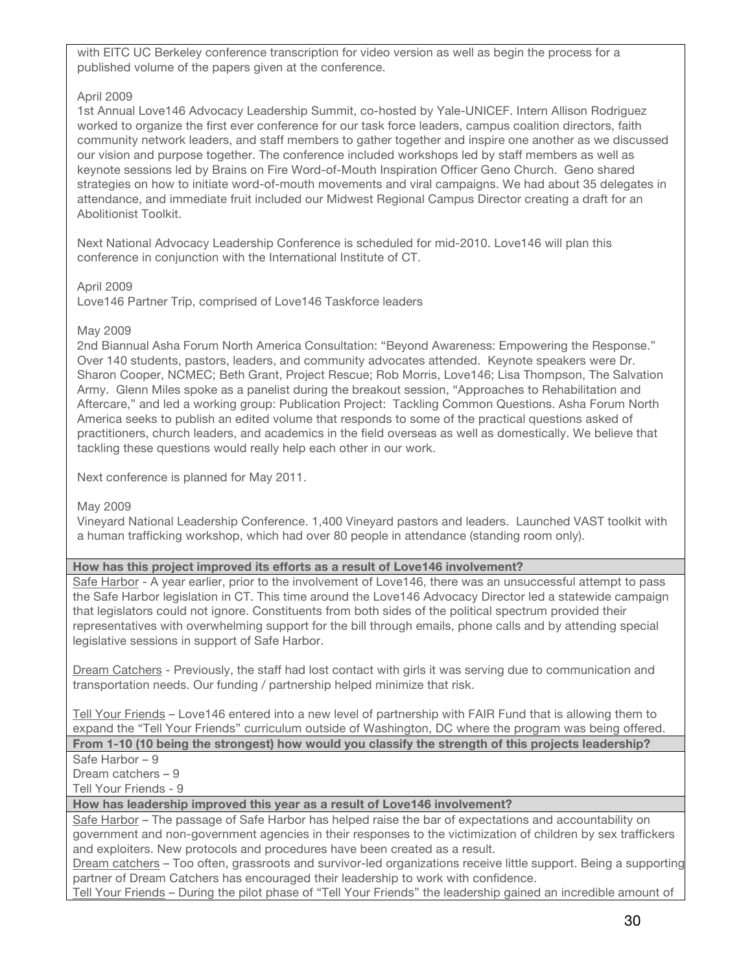with EITC UC Berkeley conference transcription for video version as well as begin the process for a published volume of the papers given at the conference.

#### April 2009

1st Annual Love146 Advocacy Leadership Summit, co-hosted by Yale-UNICEF. Intern Allison Rodriguez worked to organize the first ever conference for our task force leaders, campus coalition directors, faith community network leaders, and staff members to gather together and inspire one another as we discussed our vision and purpose together. The conference included workshops led by staff members as well as keynote sessions led by Brains on Fire Word-of-Mouth Inspiration Officer Geno Church. Geno shared strategies on how to initiate word-of-mouth movements and viral campaigns. We had about 35 delegates in attendance, and immediate fruit included our Midwest Regional Campus Director creating a draft for an Abolitionist Toolkit.

Next National Advocacy Leadership Conference is scheduled for mid-2010. Love146 will plan this conference in conjunction with the International Institute of CT.

#### April 2009

Love146 Partner Trip, comprised of Love146 Taskforce leaders

#### May 2009

2nd Biannual Asha Forum North America Consultation: "Beyond Awareness: Empowering the Response." Over 140 students, pastors, leaders, and community advocates attended. Keynote speakers were Dr. Sharon Cooper, NCMEC; Beth Grant, Project Rescue; Rob Morris, Love146; Lisa Thompson, The Salvation Army. Glenn Miles spoke as a panelist during the breakout session, "Approaches to Rehabilitation and Aftercare," and led a working group: Publication Project: Tackling Common Questions. Asha Forum North America seeks to publish an edited volume that responds to some of the practical questions asked of practitioners, church leaders, and academics in the field overseas as well as domestically. We believe that tackling these questions would really help each other in our work.

Next conference is planned for May 2011.

#### May 2009

Vineyard National Leadership Conference. 1,400 Vineyard pastors and leaders. Launched VAST toolkit with a human trafficking workshop, which had over 80 people in attendance (standing room only).

#### **How has this project improved its efforts as a result of Love146 involvement?**

Safe Harbor - A year earlier, prior to the involvement of Love146, there was an unsuccessful attempt to pass the Safe Harbor legislation in CT. This time around the Love146 Advocacy Director led a statewide campaign that legislators could not ignore. Constituents from both sides of the political spectrum provided their representatives with overwhelming support for the bill through emails, phone calls and by attending special legislative sessions in support of Safe Harbor.

Dream Catchers - Previously, the staff had lost contact with girls it was serving due to communication and transportation needs. Our funding / partnership helped minimize that risk.

Tell Your Friends – Love146 entered into a new level of partnership with FAIR Fund that is allowing them to expand the "Tell Your Friends" curriculum outside of Washington, DC where the program was being offered. **From 1-10 (10 being the strongest) how would you classify the strength of this projects leadership?**

#### Safe Harbor – 9

Dream catchers – 9

Tell Your Friends - 9

### **How has leadership improved this year as a result of Love146 involvement?**

Safe Harbor – The passage of Safe Harbor has helped raise the bar of expectations and accountability on government and non-government agencies in their responses to the victimization of children by sex traffickers and exploiters. New protocols and procedures have been created as a result.

Dream catchers - Too often, grassroots and survivor-led organizations receive little support. Being a supporting partner of Dream Catchers has encouraged their leadership to work with confidence.

Tell Your Friends – During the pilot phase of "Tell Your Friends" the leadership gained an incredible amount of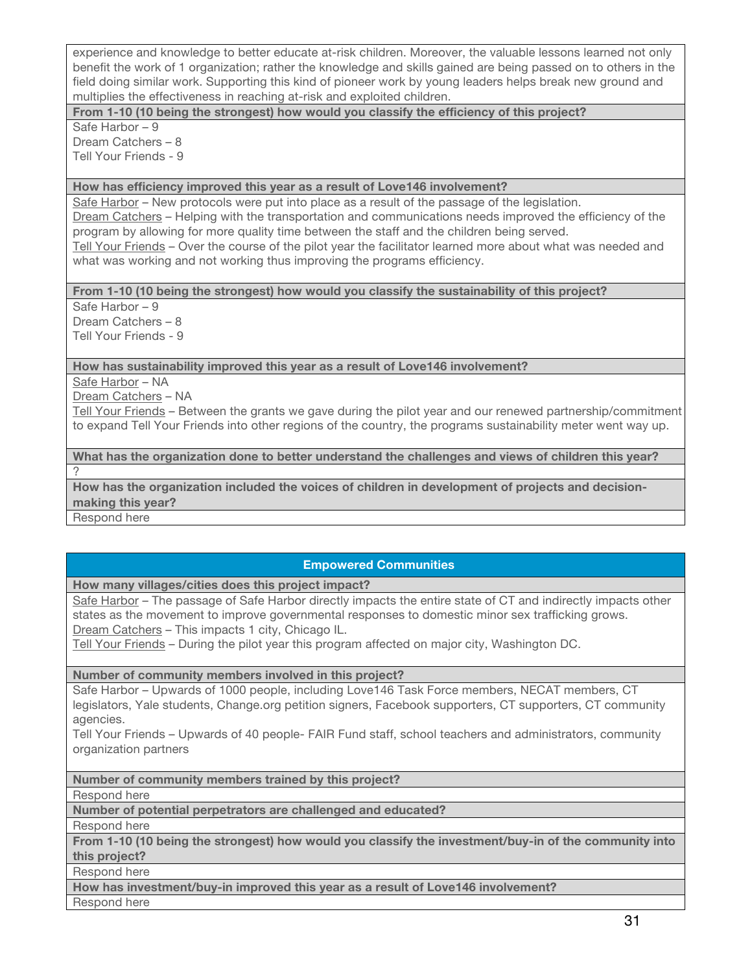experience and knowledge to better educate at-risk children. Moreover, the valuable lessons learned not only benefit the work of 1 organization; rather the knowledge and skills gained are being passed on to others in the field doing similar work. Supporting this kind of pioneer work by young leaders helps break new ground and multiplies the effectiveness in reaching at-risk and exploited children.

**From 1-10 (10 being the strongest) how would you classify the efficiency of this project?**

Safe Harbor – 9 Dream Catchers – 8 Tell Your Friends - 9

#### **How has efficiency improved this year as a result of Love146 involvement?**

Safe Harbor - New protocols were put into place as a result of the passage of the legislation. Dream Catchers – Helping with the transportation and communications needs improved the efficiency of the program by allowing for more quality time between the staff and the children being served. Tell Your Friends – Over the course of the pilot year the facilitator learned more about what was needed and what was working and not working thus improving the programs efficiency.

**From 1-10 (10 being the strongest) how would you classify the sustainability of this project?** 

Safe Harbor – 9 Dream Catchers – 8 Tell Your Friends - 9

**How has sustainability improved this year as a result of Love146 involvement?**

Safe Harbor – NA

Dream Catchers – NA

Tell Your Friends – Between the grants we gave during the pilot year and our renewed partnership/commitment to expand Tell Your Friends into other regions of the country, the programs sustainability meter went way up.

**What has the organization done to better understand the challenges and views of children this year?** ?

**How has the organization included the voices of children in development of projects and decisionmaking this year?**

Respond here

## **Empowered Communities**

**How many villages/cities does this project impact?**

Safe Harbor – The passage of Safe Harbor directly impacts the entire state of CT and indirectly impacts other states as the movement to improve governmental responses to domestic minor sex trafficking grows. Dream Catchers – This impacts 1 city, Chicago IL.

Tell Your Friends – During the pilot year this program affected on major city, Washington DC.

**Number of community members involved in this project?**

Safe Harbor – Upwards of 1000 people, including Love146 Task Force members, NECAT members, CT legislators, Yale students, Change.org petition signers, Facebook supporters, CT supporters, CT community agencies.

Tell Your Friends – Upwards of 40 people- FAIR Fund staff, school teachers and administrators, community organization partners

**Number of community members trained by this project?**

Respond here

**Number of potential perpetrators are challenged and educated?**

Respond here

**From 1-10 (10 being the strongest) how would you classify the investment/buy-in of the community into this project?**

Respond here

**How has investment/buy-in improved this year as a result of Love146 involvement?**

Respond here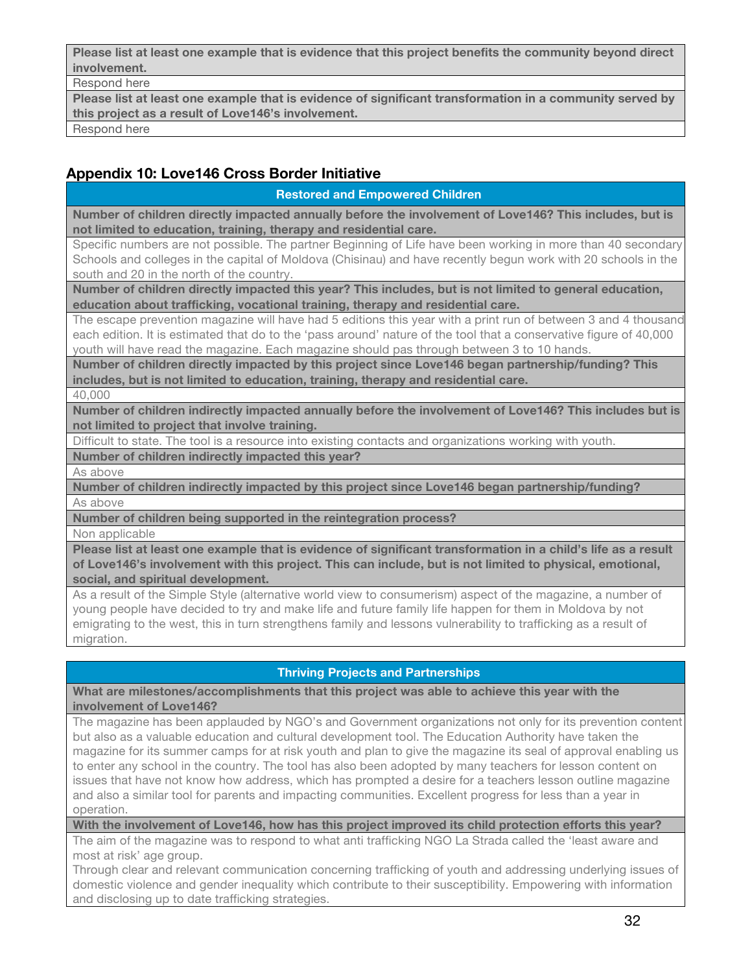**Please list at least one example that is evidence that this project benefits the community beyond direct involvement.**

Respond here

**Please list at least one example that is evidence of significant transformation in a community served by this project as a result of Love146's involvement.** Respond here

# **Appendix 10: Love146 Cross Border Initiative**

### **Restored and Empowered Children**

**Number of children directly impacted annually before the involvement of Love146? This includes, but is not limited to education, training, therapy and residential care.**

Specific numbers are not possible. The partner Beginning of Life have been working in more than 40 secondary Schools and colleges in the capital of Moldova (Chisinau) and have recently begun work with 20 schools in the south and 20 in the north of the country.

**Number of children directly impacted this year? This includes, but is not limited to general education, education about trafficking, vocational training, therapy and residential care.**

The escape prevention magazine will have had 5 editions this year with a print run of between 3 and 4 thousand each edition. It is estimated that do to the 'pass around' nature of the tool that a conservative figure of 40,000 youth will have read the magazine. Each magazine should pas through between 3 to 10 hands.

**Number of children directly impacted by this project since Love146 began partnership/funding? This includes, but is not limited to education, training, therapy and residential care.**

40,000

**Number of children indirectly impacted annually before the involvement of Love146? This includes but is not limited to project that involve training.** 

Difficult to state. The tool is a resource into existing contacts and organizations working with youth.

**Number of children indirectly impacted this year?**

As above

**Number of children indirectly impacted by this project since Love146 began partnership/funding?** As above

**Number of children being supported in the reintegration process?**

Non applicable

**Please list at least one example that is evidence of significant transformation in a child's life as a result of Love146's involvement with this project. This can include, but is not limited to physical, emotional, social, and spiritual development.**

As a result of the Simple Style (alternative world view to consumerism) aspect of the magazine, a number of young people have decided to try and make life and future family life happen for them in Moldova by not emigrating to the west, this in turn strengthens family and lessons vulnerability to trafficking as a result of migration.

## **Thriving Projects and Partnerships**

**What are milestones/accomplishments that this project was able to achieve this year with the involvement of Love146?**

The magazine has been applauded by NGO's and Government organizations not only for its prevention content but also as a valuable education and cultural development tool. The Education Authority have taken the magazine for its summer camps for at risk youth and plan to give the magazine its seal of approval enabling us to enter any school in the country. The tool has also been adopted by many teachers for lesson content on issues that have not know how address, which has prompted a desire for a teachers lesson outline magazine and also a similar tool for parents and impacting communities. Excellent progress for less than a year in operation.

**With the involvement of Love146, how has this project improved its child protection efforts this year?**

The aim of the magazine was to respond to what anti trafficking NGO La Strada called the 'least aware and most at risk' age group.

Through clear and relevant communication concerning trafficking of youth and addressing underlying issues of domestic violence and gender inequality which contribute to their susceptibility. Empowering with information and disclosing up to date trafficking strategies.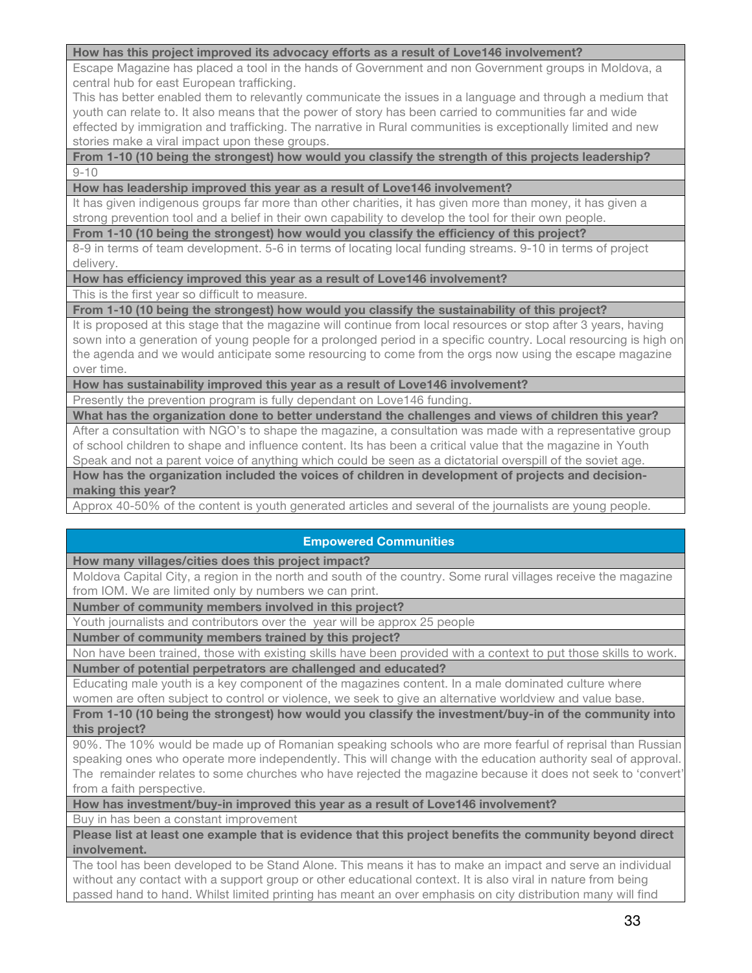#### **How has this project improved its advocacy efforts as a result of Love146 involvement?**

Escape Magazine has placed a tool in the hands of Government and non Government groups in Moldova, a central hub for east European trafficking.

This has better enabled them to relevantly communicate the issues in a language and through a medium that youth can relate to. It also means that the power of story has been carried to communities far and wide effected by immigration and trafficking. The narrative in Rural communities is exceptionally limited and new stories make a viral impact upon these groups.

#### **From 1-10 (10 being the strongest) how would you classify the strength of this projects leadership?**  $9 - 10$

#### **How has leadership improved this year as a result of Love146 involvement?**

It has given indigenous groups far more than other charities, it has given more than money, it has given a strong prevention tool and a belief in their own capability to develop the tool for their own people.

**From 1-10 (10 being the strongest) how would you classify the efficiency of this project?**

8-9 in terms of team development. 5-6 in terms of locating local funding streams. 9-10 in terms of project delivery.

**How has efficiency improved this year as a result of Love146 involvement?**

This is the first year so difficult to measure.

**From 1-10 (10 being the strongest) how would you classify the sustainability of this project?** 

It is proposed at this stage that the magazine will continue from local resources or stop after 3 years, having sown into a generation of young people for a prolonged period in a specific country. Local resourcing is high on the agenda and we would anticipate some resourcing to come from the orgs now using the escape magazine over time.

**How has sustainability improved this year as a result of Love146 involvement?**

Presently the prevention program is fully dependant on Love146 funding.

**What has the organization done to better understand the challenges and views of children this year?**

After a consultation with NGO's to shape the magazine, a consultation was made with a representative group of school children to shape and influence content. Its has been a critical value that the magazine in Youth Speak and not a parent voice of anything which could be seen as a dictatorial overspill of the soviet age.

**How has the organization included the voices of children in development of projects and decisionmaking this year?**

Approx 40-50% of the content is youth generated articles and several of the journalists are young people.

## **Empowered Communities**

**How many villages/cities does this project impact?**

Moldova Capital City, a region in the north and south of the country. Some rural villages receive the magazine from IOM. We are limited only by numbers we can print.

**Number of community members involved in this project?**

Youth journalists and contributors over the year will be approx 25 people

**Number of community members trained by this project?**

Non have been trained, those with existing skills have been provided with a context to put those skills to work. **Number of potential perpetrators are challenged and educated?**

Educating male youth is a key component of the magazines content. In a male dominated culture where women are often subject to control or violence, we seek to give an alternative worldview and value base.

**From 1-10 (10 being the strongest) how would you classify the investment/buy-in of the community into this project?**

90%. The 10% would be made up of Romanian speaking schools who are more fearful of reprisal than Russian speaking ones who operate more independently. This will change with the education authority seal of approval. The remainder relates to some churches who have rejected the magazine because it does not seek to 'convert' from a faith perspective.

**How has investment/buy-in improved this year as a result of Love146 involvement?**

Buy in has been a constant improvement

**Please list at least one example that is evidence that this project benefits the community beyond direct involvement.**

The tool has been developed to be Stand Alone. This means it has to make an impact and serve an individual without any contact with a support group or other educational context. It is also viral in nature from being passed hand to hand. Whilst limited printing has meant an over emphasis on city distribution many will find